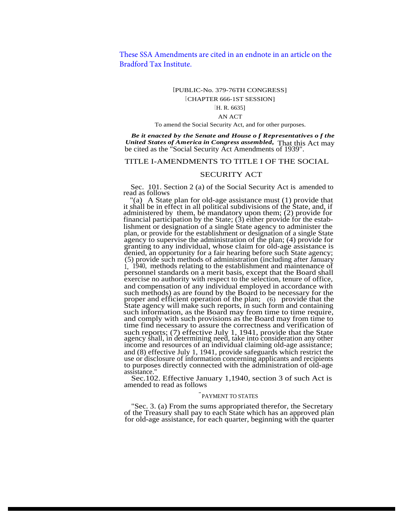# [PUBLIC-No. 379-76TH CONGRESS]

# [CHAPTER 666-1ST SESSION]

# $[H. R. 6635]$

AN ACT

To amend the Social Security Act, and for other purposes.

*Be it enacted by the Senate and House o f Representatives o f the United States of America in Congress assembled,* That this Act may be cited as the "Social Security Act Amendments of 1939".

# TITLE I-AMENDMENTS TO TITLE I OF THE SOCIAL

# SECURITY ACT

Sec. 101. Section 2 (a) of the Social Security Act is amended to read as follows

"(a) A State plan for old-age assistance must (1) provide that it shall be in effect in all political subdivisions of the State, and, if administered by them, be mandatory upon them; (2) provide for financial participation by the State;  $(3)$  either provide for the establishment or designation of a single State agency to administer the plan, or provide for the establishment or designation of a single State agency to supervise the administration of the plan; (4) provide for granting to any individual, whose claim for old-age assistance is denied, an opportunity for a fair hearing before such State agency; (5) provide such methods of administration (including after January 1, 1940, methods relating to the establishment and maintenance of personnel standards on a merit basis, except that the Board shall exercise no authority with respect to the selection, tenure of office, and compensation of any individual employed in accordance with such methods) as are found by the Board to be necessary for the proper and efficient operation of the plan; (6) provide that the State agency will make such reports, in such form and containing such information, as the Board may from time to time require, and comply with such provisions as the Board may from time to time find necessary to assure the correctness and verification of such reports; (7) effective July 1, 1941, provide that the State agency shall, in determining need, take into consideration any other income and resources of an individual claiming old-age assistance; and (8) effective July 1, 1941, provide safeguards which restrict the use or disclosure of information concerning applicants and recipients to purposes directly connected with the administration of old-age assistance."

Sec.102. Effective January 1,1940, section 3 of such Act is amended to read as follows

# " PAYMENT TO STATES

"Sec. 3. (a) From the sums appropriated therefor, the Secretary of the Treasury shall pay to each State which has an approved plan for old-age assistance, for each quarter, beginning with the quarter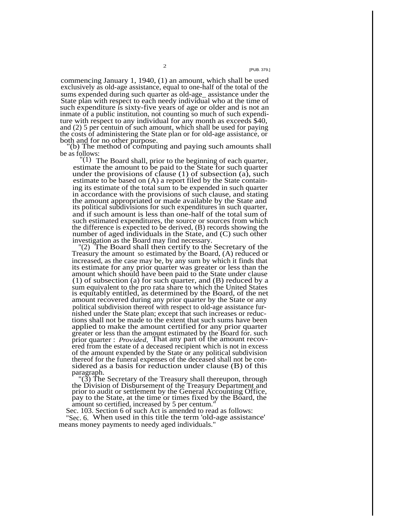commencing January 1, 1940, (1) an amount, which shall be used exclusively as old-age assistance, equal to one-half of the total of the sums expended during such quarter as old-age\_ assistance under the State plan with respect to each needy individual who at the time of such expenditure is sixty-five years of age or older and is not an inmate of a public institution, not counting so much of such expenditure with respect to any individual for any month as exceeds \$40, and (2) 5 per centuin of such amount, which shall be used for paying the costs of administering the State plan or for old-age assistance, or both and for no other purpose.

"(b) The method of computing and paying such amounts shall be as follows:

 $(1)$  The Board shall, prior to the beginning of each quarter, estimate the amount to be paid to the State for such quarter under the provisions of clause  $(1)$  of subsection  $(a)$ , such estimate to be based on (A) a report filed by the State containing its estimate of the total sum to be expended in such quarter in accordance with the provisions of such clause, and stating the amount appropriated or made available by the State and its political subdivisions for such expenditures in such quarter, and if such amount is less than one-half of the total sum of such estimated expenditures, the source or sources from which the difference is expected to be derived, (B) records showing the number of aged individuals in the State, and (C) such other investigation as the Board may find necessary.

"(2) The Board shall then certify to the Secretary of the Treasury the amount so estimated by the Board, (A) reduced or increased, as the case may be, by any sum by which it finds that its estimate for any prior quarter was greater or less than the amount which should have been paid to the State under clause (1) of subsection (a) for such quarter, and (B) reduced by a sum equivalent to the pro rata share to which the United States is equitably entitled, as determined by the Board, of the net amount recovered during any prior quarter by the State or any political subdivision thereof with respect to old-age assistance furnished under the State plan; except that such increases or reductions shall not be made to the extent that such sums have been applied to make the amount certified for any prior quarter greater or less than the amount estimated by the Board for. such prior quarter : *Provided,* That any part of the amount recovered from the estate of a deceased recipient which is not in excess of the amount expended by the State or any political subdivision thereof for the funeral expenses of the deceased shall not be considered as a basis for reduction under clause (B) of this paragraph.

"(3) The Secretary of the Treasury shall thereupon, through the Division of Disbursement of the Treasury Department and prior to audit or settlement by the General Accounting Office, pay to the State, at the time or times fixed by the Board, the amount so certified, increased by 5 per centum."

Sec. 103. Section 6 of such Act is amended to read as follows:

"Sec. 6. When used in this title the term 'old-age assistance' means money payments to needy aged individuals."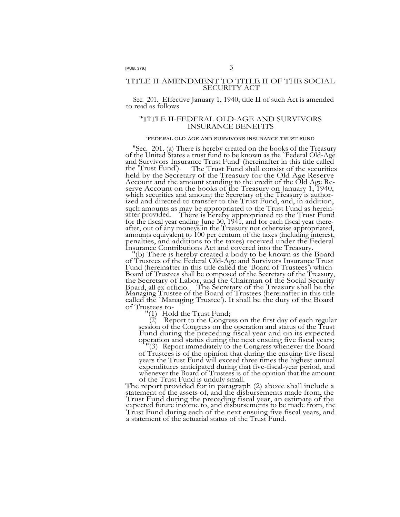### TITLE II-AMENDMENT TO TITLE II OF THE SOCIAL SECURITY ACT

Sec. 201. Effective January 1, 1940, title II of such Act is amended to read as follows

### "TITLE II-FEDERAL OLD-AGE AND SURVIVORS INSURANCE BENEFITS

### "FEDERAL OLD-AGE AND SURVIVORS INSURANCE TRUST FUND

"Sec. 201. (a) There is hereby created on the books of the Treasury of the United States a trust fund to be known as the `Federal Old-Age and Survivors Insurance Trust Fund' (hereinafter in this title called The Trust Fund shall consist of the securities. held by the Secretary of the Treasury for the Old Age Reserve Account and the amount standing to the credit of the Old Age Reserve Account on the books of the Treasury on January 1, 1940, which securities and amount the Secretary of the Treasury is authorized and directed to transfer to the Trust Fund, and, in addition, such amounts as may be appropriated to the Trust Fund as hereinafter provided. There is hereby appropriated to the Trust Fund for the fiscal year ending June 30, 1941, and for each fiscal year thereafter, out of any moneys in the Treasury not otherwise appropriated, amounts equivalent to 100 per centum of the taxes (including interest, penalties, and additions to the taxes) received under the Federal Insurance Contributions Act and covered into the Treasury.

"(b) There is hereby created a body to be known as the Board of Trustees of the Federal Old-Age and Survivors Insurance Trust Fund (hereinafter in this title called the 'Board of Trustees') which Board of Trustees shall be composed of the Secretary of the Treasury, the Secretary of Labor, and the Chairman of the Social Security Board, all ex officio. The Secretary of the Treasury shall be the Managing Trustee of the Board of Trustees (hereinafter in this title called the `Managing Trustee'). It shall be the duty of the Board of Trustees to-

(1) Hold the Trust Fund;<br>(2) Report to the Congre

Report to the Congress on the first day of each regular session of the Congress on the operation and status of the Trust Fund during the preceding fiscal year and on its expected operation and status during the next ensuing five fiscal years;

"(3) Report immediately to the Congress whenever the Board of Trustees is of the opinion that during the ensuing five fiscal years the Trust Fund will exceed three times the highest annual expenditures anticipated during that five-fiscal-year period, and whenever the Board of Trustees is of the opinion that the amount of the Trust Fund is unduly small.

The report provided for in paragraph (2) above shall include a statement of the assets of, and the disbursements made from, the Trust Fund during the preceding fiscal year, an estimate of the expected future income to, and disbursements to be made from, the Trust Fund during each of the next ensuing five fiscal years, and a statement of the actuarial status of the Trust Fund.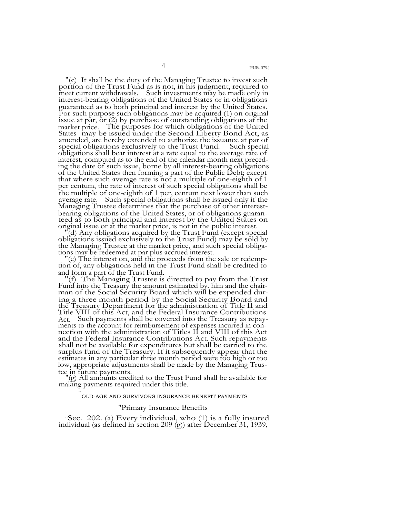"(c) It shall be the duty of the Managing Trustee to invest such portion of the Trust Fund as is not, in his judgment, required to meet current withdrawals. Such investments may be made only in Such investments may be made only in interest-bearing obligations of the United States or in obligations guaranteed as to both principal and interest by the United States. For such purpose such obligations may be acquired (1) on original issue at par, or (2) by purchase of outstanding obligations at the market price. The purposes for which obligations of the United States may be issued under the Second Liberty Bond Act, as amended, are hereby extended to authorize the issuance at par of special obligations exclusively to the Trust Fund. Such special obligations shall bear interest at a rate equal to the average rate of interest, computed as to the end of the calendar month next preceding the date of such issue, borne by all interest-bearing obligations of the United States then forming a part of the Public Debt; except that where such average rate is not a multiple of one-eighth of 1 per centum, the rate of interest of such special obligations shall be the multiple of one-eighth of 1 per, centum next lower than such average rate. Such special obligations shall be issued only if the Managing Trustee determines that the purchase of other interestbearing obligations of the United States, or of obligations guaranteed as to both principal and interest by the United States on original issue or at the market price, is not in the public interest.

"(d) Any obligations acquired by the Trust Fund (except special obligations issued exclusively to the Trust Fund) may be sold by the Managing Trustee at the market price, and such special obligations may be redeemed at par plus accrued interest.

"(e) The interest on, and the proceeds from the sale or redemption of, any obligations held in the Trust Fund shall be credited to and form a part of the Trust Fund.

"(f) The Managing Trustee is directed to pay from the Trust Fund into the Treasury the amount estimated by. him and the chairman of the Social Security Board which will be expended during a three month period by the Social Security Board and the Treasury Department for the administration of Title II and Title VIII of this Act, and the Federal Insurance Contributions Act. Such payments shall be covered into the Treasury as repayments to the account for reimbursement of expenses incurred in connection with the administration of Titles II and VIII of this Act and the Federal Insurance Contributions Act. Such repayments shall not be available for expenditures but shall be carried to the surplus fund of the Treasury. If it subsequently appear that the estimates in any particular three month period were too high or too low, appropriate adjustments shall be made by the Managing Trustee in future payments.

(g) All amounts credited to the Trust Fund shall be available for making payments required under this title.

" OLD-AGE AND SURVIVORS INSURANCE BENEFIT PAYMENTS

#### "Primary Insurance Benefits

"Sec. 202. (a) Every individual, who (1) is a fully insured individual (as defined in section 209 (g)) after December 31, 1939,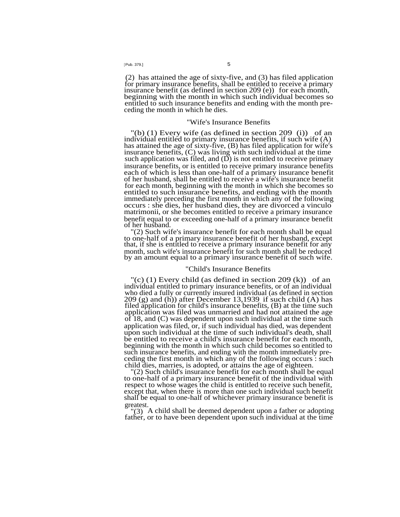(2) has attained the age of sixty-five, and (3) has filed application for primary insurance benefits, shall be entitled to receive a primary insurance benefit (as defined in section 209 (e)) for each month, beginning with the month in which such individual becomes so entitled to such insurance benefits and ending with the month preceding the month in which he dies.

### "Wife's Insurance Benefits

"(b) (1) Every wife (as defined in section 209 (i)) of an individual entitled to primary insurance benefits, if such wife (A) has attained the age of sixty-five, (B) has filed application for wife's insurance benefits, (C) was living with such individual at the time such application was filed, and  $(D)$  is not entitled to receive primary insurance benefits, or is entitled to receive primary insurance benefits each of which is less than one-half of a primary insurance benefit of her husband, shall be entitled to receive a wife's insurance benefit for each month, beginning with the month in which she becomes so entitled to such insurance benefits, and ending with the month immediately preceding the first month in which any of the following occurs : she dies, her husband dies, they are divorced a vinculo matrimonii, or she becomes entitled to receive a primary insurance benefit equal to or exceeding one-half of a primary insurance benefit of her husband.

"(2) Such wife's insurance benefit for each month shall be equal to one-half of a primary insurance benefit of her husband, except that, if she is entitled to receive a primary insurance benefit for any month, such wife's insurance benefit for such month shall be reduced by an amount equal to a primary insurance benefit of such wife.

### "Child's Insurance Benefits

 $\Gamma$ (c) (1) Every child (as defined in section 209 (k)) of an individual entitled to primary insurance benefits, or of an individual who died a fully or currently insured individual (as defined in section 209 (g) and (h)) after December 13,1939 if such child (A) has filed application for child's insurance benefits, (B) at the time such application was filed was unmarried and had not attained the age of 18, and (C) was dependent upon such individual at the time such application was filed, or, if such individual has died, was dependent upon such individual at the time of such individual's death, shall be entitled to receive a child's insurance benefit for each month, beginning with the month in which such child becomes so entitled to such insurance benefits, and ending with the month immediately preceding the first month in which any of the following occurs : such child dies, marries, is adopted, or attains the age of eighteen.

"(2) Such child's insurance benefit for each month shall be equal to one-half of a primary insurance benefit of the individual with respect to whose wages the child is entitled to receive such benefit, except that, when there is more than one such individual such benefit shall be equal to one-half of whichever primary insurance benefit is greatest.

"(3) A child shall be deemed dependent upon a father or adopting father, or to have been dependent upon such individual at the time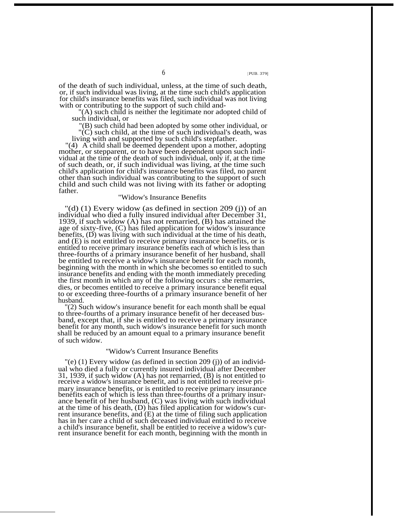of the death of such individual, unless, at the time of such death, or, if such individual was living, at the time such child's application for child's insurance benefits was filed, such individual was not living with or contributing to the support of such child and-

"(A) such child is neither the legitimate nor adopted child of such individual, or

"(B) such child had been adopted by some other individual, or

 $C$ ) such child, at the time of such individual's death, was living with and supported by such child's stepfather.

"(4) A child shall be deemed dependent upon a mother, adopting mother, or stepparent, or to have been dependent upon such individual at the time of the death of such individual, only if, at the time of such death, or, if such individual was living, at the time such child's application for child's insurance benefits was filed, no parent other than such individual was contributing to the support of such child and such child was not living with its father or adopting father.

### "Widow's Insurance Benefits

"(d) (1) Every widow (as defined in section 209 (j)) of an individual who died a fully insured individual after December 31, 1939, if such widow (A) has not remarried, (B) has attained the age of sixty-five, (C) has filed application for widow's insurance benefits, (D) was living with such individual at the time of his death, and (E) is not entitled to receive primary insurance benefits, or is entitled to receive primary insurance benefits each of which is less than three-fourths of a primary insurance benefit of her husband, shall be entitled to receive a widow's insurance benefit for each month, beginning with the month in which she becomes so entitled to such insurance benefits and ending with the month immediately preceding the first month in which any of the following occurs : she remarries, dies, or becomes entitled to receive a primary insurance benefit equal to or exceeding three-fourths of a primary insurance benefit of her husband.

"(2) Such widow's insurance benefit for each month shall be equal to three-fourths of a primary insurance benefit of her deceased busband, except that, if she is entitled to receive a primary insurance benefit for any month, such widow's insurance benefit for such month shall be reduced by an amount equal to a primary insurance benefit of such widow.

### "Widow's Current Insurance Benefits

"(e) (1) Every widow (as defined in section 209 (j)) of an individual who died a fully or currently insured individual after December 31, 1939, if such widow (A) has not remarried, (B) is not entitled to receive a widow's insurance benefit, and is not entitled to receive primary insurance benefits, or is entitled to receive primary insurance benefits each of which is less than three-fourths of a primary insurance benefit of her husband, (C) was living with such individual at the time of his death, (D) has filed application for widow's current insurance benefits, and (E) at the time of filing such application has in her care a child of such deceased individual entitled to receive a child's insurance benefit, shall be entitled to receive a widow's current insurance benefit for each month, beginning with the month in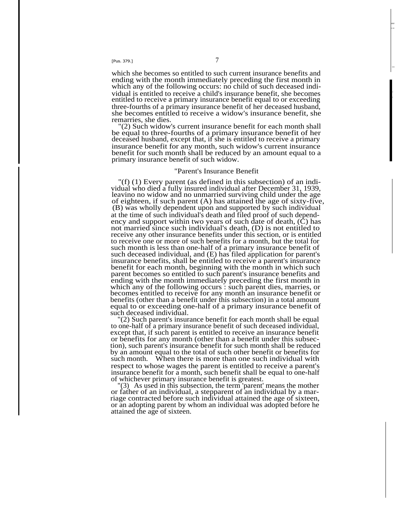which she becomes so entitled to such current insurance benefits and ending with the month immediately preceding the first month in which any of the following occurs: no child of such deceased individual is entitled to receive a child's insurance benefit, she becomes entitled to receive a primary insurance benefit equal to or exceeding three-fourths of a primary insurance benefit of her deceased husband, she becomes entitled to receive a widow's insurance benefit, she remarries, she dies.

"(2) Such widow's current insurance benefit for each month shall be equal to three-fourths of a primary insurance benefit of her deceased husband, except that, if she is entitled to receive a primary insurance benefit for any month, such widow's current insurance benefit for such month shall be reduced by an amount equal to a primary insurance benefit of such widow.

### "Parent's Insurance Benefit

"(f) (1) Every parent (as defined in this subsection) of an individual who died a fully insured individual after December 31, 1939, leavino no widow and no unmarried surviving child under the age of eighteen, if such parent (A) has attained the age of sixty-five, (B) was wholly dependent upon and supported by such individual at the time of such individual's death and filed proof of such dependency and support within two years of such date of death,  $(\hat{C})$  has not married since such individual's death, (D) is not entitled to receive any other insurance benefits under this section, or is entitled to receive one or more of such benefits for a month, but the total for such month is less than one-half of a primary insurance benefit of such deceased individual, and (E) has filed application for parent's insurance benefits, shall be entitled to receive a parent's insurance benefit for each month, beginning with the month in which such parent becomes so entitled to such parent's insurance benefits and ending with the month immediately preceding the first month in which any of the following occurs : such parent dies, marries, or becomes entitled to receive for any month an insurance benefit or benefits (other than a benefit under this subsection) in a total amount equal to or exceeding one-half of a primary insurance benefit of such deceased individual.

"(2) Such parent's insurance benefit for each month shall be equal to one-half of a primary insurance benefit of such deceased individual, except that, if such parent is entitled to receive an insurance benefit or benefits for any month (other than a benefit under this subsection), such parent's insurance benefit for such month shall be reduced by an amount equal to the total of such other benefit or benefits for such month. When there is more than one such individual with When there is more than one such individual with. respect to whose wages the parent is entitled to receive a parent's insurance benefit for a month, such benefit shall be equal to one-half of whichever primary insurance benefit is greatest.

(3) As used in this subsection, the term 'parent' means the mother or father of an individual, a stepparent of an individual by a marriage contracted before such individual attained the age of sixteen, or an adopting parent by whom an individual was adopted before he attained the age of sixteen.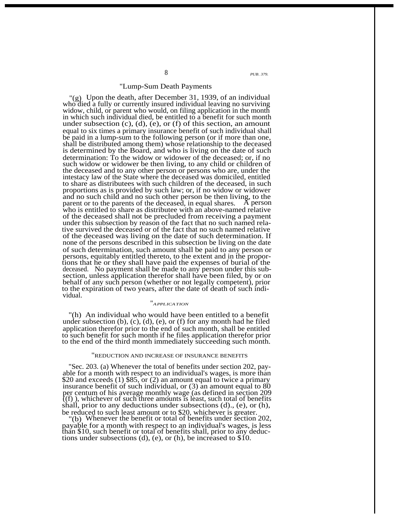### "Lump-Sum Death Payments

"(g) Upon the death, after December 31, 1939, of an individual who died a fully or currently insured individual leaving no surviving widow, child, or parent who would, on filing application in the month in which such individual died, be entitled to a benefit for such month under subsection (c), (d), (e), or (f) of this section, an amount equal to six times a primary insurance benefit of such individual shall be paid in a lump-sum to the following person (or if more than one, shall be distributed among them) whose relationship to the deceased is determined by the Board, and who is living on the date of such determination: To the widow or widower of the deceased; or, if no such widow or widower be then living, to any child or children of the deceased and to any other person or persons who are, under the intestacy law of the State where the deceased was domiciled, entitled to share as distributees with such children of the deceased, in such proportions as is provided by such law; or, if no widow or widower and no such child and no such other person be then living, to the parent or to the parents of the deceased, in equal shares. A person parent or to the parents of the deceased, in equal shares. who is entitled to share as distributee with an above-named relative of the deceased shall not be precluded from receiving a payment under this subsection by reason of the fact that no such named relative survived the deceased or of the fact that no such named relative of the deceased was living on the date of such determination. If none of the persons described in this subsection be living on the date of such determination, such amount shall be paid to any person or persons, equitably entitled thereto, to the extent and in the proportions that he or they shall have paid the expenses of burial of the deceased. No payment shall be made to any person under this subsection, unless application therefor shall have been filed, by or on behalf of any such person (whether or not legally competent), prior to the expiration of two years, after the date of death of such individual.

#### "*APPLICATION*

"(h) An individual who would have been entitled to a benefit under subsection (b), (c), (d), (e), or (f) for any month had he filed application therefor prior to the end of such month, shall be entitled to such benefit for such month if he files application therefor prior to the end of the third month immediately succeeding such month.

### "REDUCTION AND INCREASE OF INSURANCE BENEFITS

"Sec. 203. (a) Whenever the total of benefits under section 202, payable for a month with respect to an individual's wages, is more than \$20 and exceeds (1) \$85, or (2) an amount equal to twice a primary insurance benefit of such individual, or (3) an amount equal to 80 per centum of his average monthly wage (as defined in section 209  $\tilde{f}(f)$ ), whichever of such three amounts is least, such total of benefits shall, prior to any deductions under subsections (d)., (e), or (h), be reduced to such least amount or to \$20, whichever is greater.

"(b) Whenever the benefit or total of benefits under section 202, payable for a month with respect to an individual's wages, is less than \$10, such benefit or total of benefits shall, prior to any deductions under subsections (d), (e), or (h), be increased to \$10.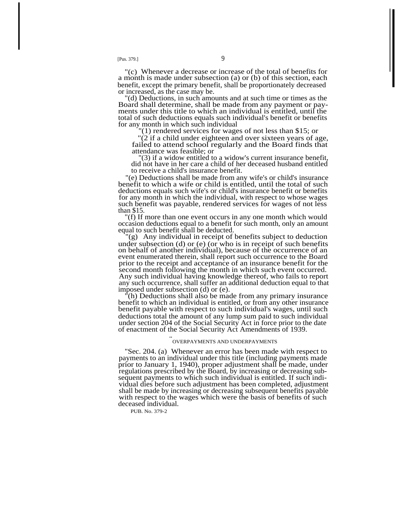"(c) Whenever a decrease or increase of the total of benefits for a month is made under subsection (a) or (b) of this section, each benefit, except the primary benefit, shall be proportionately decreased or increased, as the case may be.

"(d) Deductions, in such amounts and at such time or times as the Board shall determine, shall be made from any payment or payments under this title to which an individual is entitled, until the total of such deductions equals such individual's benefit or benefits for any month in which such individual

 $(1)$  rendered services for wages of not less than \$15; or

"(2 if a child under eighteen and over sixteen years of age, failed to attend school regularly and the Board finds that attendance was feasible; or

"(3) if a widow entitled to a widow's current insurance benefit, did not have in her care a child of her deceased husband entitled to receive a child's insurance benefit.

"(e) Deductions shall be made from any wife's or child's insurance benefit to which a wife or child is entitled, until the total of such deductions equals such wife's or child's insurance benefit or benefits for any month in which the individual, with respect to whose wages such benefit was payable, rendered services for wages of not less than \$15.

"(f) If more than one event occurs in any one month which would occasion deductions equal to a benefit for such month, only an amount equal to such benefit shall be deducted.

 $(g)$  Any individual in receipt of benefits subject to deduction under subsection (d) or (e) (or who is in receipt of such benefits on behalf of another individual), because of the occurrence of an event enumerated therein, shall report such occurrence to the Board prior to the receipt and acceptance of an insurance benefit for the second month following the month in which such event occurred. Any such individual having knowledge thereof, who fails to report any such occurrence, shall suffer an additional deduction equal to that imposed under subsection (d) or (e).

"(h) Deductions shall also be made from any primary insurance benefit to which an individual is entitled, or from any other insurance benefit payable with respect to such individual's wages, until such deductions total the amount of any lump sum paid to such individual under section 204 of the Social Security Act in force prior to the date of enactment of the Social Security Act Amendments of 1939.

# " OVERPAYMENTS AND UNDERPAYMENTS

"Sec. 204. (a) Whenever an error has been made with respect to payments to an individual under this title (including payments made prior to January 1, 1940), proper adjustment shall be made, under regulations prescribed by the Board, by increasing or decreasing subsequent payments to which such individual is entitled. If such individual dies before such adjustment has been completed, adjustment shall be made by increasing or decreasing subsequent benefits payable with respect to the wages which were the basis of benefits of such deceased individual.

PUB. No. 379-2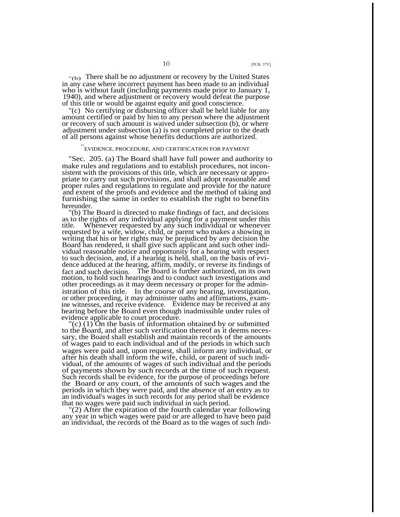$v_{\rm (b)}$  There shall be no adjustment or recovery by the United States in any case where incorrect payment has been made to an individual who is without fault (including payments made prior to January 1, 1940), and where adjustment or recovery would defeat the purpose of this title or would be against equity and good conscience.

"(c) No certifying or disbursing officer shall be held liable for any amount certified or paid by him to any person where the adjustment or recovery of such amount is waived under subsection (b), or where adjustment under subsection (a) is not completed prior to the death of all persons against whose benefits deductions are authorized.

# " EVIDENCE, PROCEDURE, AND CERTIFICATION FOR PAYMENT

"Sec. 205. (a) The Board shall have full power and authority to make rules and regulations and to establish procedures, not inconsistent with the provisions of this title, which are necessary or appropriate to carry out such provisions, and shall adopt reasonable and proper rules and regulations to regulate and provide for the nature and extent of the proofs and evidence and the method of taking and furnishing the same in order to establish the right to benefits hereunder.

"(b) The Board is directed to make findings of fact, and decisions as to the rights of any individual applying for a payment under this title. Whenever requested by any such individual or whenever Whenever requested by any such individual or whenever requested by a wife, widow, child, or parent who makes a showing in writing that his or her rights may be prejudiced by any decision the Board has rendered, it shall give such applicant and such other individual reasonable notice and opportunity for a hearing with respect to such decision, and, if a hearing is held, shall, on the basis of evidence adduced at the hearing, affirm, modify, or reverse its findings of fact and such decision. The Board is further authorized, on its own motion, to hold such hearings and to conduct such investigations and other proceedings as it may deem necessary or proper for the administration of this title. In the course of any hearing, investigation, or other proceeding, it may administer oaths and affirmations, exam-<br>ine witnesses, and receive evidence. Evidence may be received at any Evidence may be received at any hearing before the Board even though inadmissible under rules of evidence applicable to court procedure.

"(c) (1) On the basis of information obtained by or submitted to the Board, and after such verification thereof as it deems necessary, the Board shall establish and maintain records of the amounts of wages paid to each individual and of the periods in which such wages were paid and, upon request, shall inform any individual, or after his death shall inform the wife, child, or parent of such individual, of the amounts of wages of such individual and the periods of payments shown by such records at the time of such request. Such records shall be evidence, for the purpose of proceedings before the Board or any court, of the amounts of such wages and the periods in which they were paid, and the absence of an entry as to an individual's wages in such records for any period shall be evidence that no wages were paid such individual in such period.

"(2) After the expiration of the fourth calendar year following any year in which wages were paid or are alleged to have been paid an individual, the records of the Board as to the wages of such indi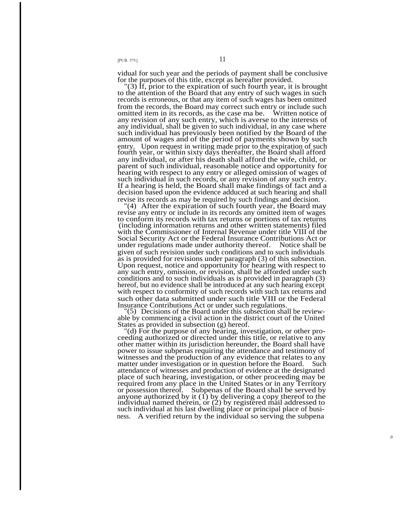vidual for such year and the periods of payment shall be conclusive for the purposes of this title, except as hereafter provided.

"(3) If, prior to the expiration of such fourth year, it is brought to the attention of the Board that any entry of such wages in such records is erroneous, or that any item of such wages has been omitted from the records, the Board may correct such entry or include such omitted item in its records, as the case ma be. Written notice of any revision of any such entry, which is averse to the interests of any individual, shall be given to such individual, in any case where such individual has previously been notified by the Board of the amount of wages and of the period of payments shown by such entry. Upon request in writing made prior to the expiration of such fourth year, or within sixty days thereafter, the Board shall afford any individual, or after his death shall afford the wife, child, or parent of such individual, reasonable notice and opportunity for hearing with respect to any entry or alleged omission of wages of such individual in such records, or any revision of any such entry. If a hearing is held, the Board shall make findings of fact and a decision based upon the evidence adduced at such hearing and shall revise its records as may be required by such findings and decision.

"(4) After the expiration of such fourth year, the Board may revise any entry or include in its records any omitted item of wages to conform its records with tax returns or portions of tax returns (including information returns and other written statements) filed with the Commissioner of Internal Revenue under title VIII of the Social Security Act or the Federal Insurance Contributions Act or under regulations made under authority thereof. Notice shall be given of such revision under such conditions and to such individuals as is provided for revisions under paragraph (3) of this subsection. Upon request, notice and opportunity for hearing with respect to any such entry, omission, or revision, shall be afforded under such conditions and to such individuals as is provided in paragraph (3) hereof, but no evidence shall be introduced at any such hearing except with respect to conformity of such records with such tax returns and such other data submitted under such title VIII or the Federal Insurance Contributions Act or under such regulations.

 $(5)$  Decisions of the Board under this subsection shall be reviewable by commencing a civil action in the district court of the United States as provided in subsection (g) hereof.

"(d) For the purpose of any hearing, investigation, or other proceeding authorized or directed under this title, or relative to any other matter within its jurisdiction hereunder, the Board shall have power to issue subpenas requiring the attendance and testimony of witnesses and the production of any evidence that relates to any matter under investigation or in question before the Board. Such matter under investigation or in question before the Board. attendance of witnesses and production of evidence at the designated place of such hearing, investigation, or other proceeding may be required from any place in the United States or in any Territory<br>or possession thereof. Subpenas of the Board shall be served by Subpenas of the Board shall be served by anyone authorized by it (1) by delivering a copy thereof to the individual named therein, or (2) by registered mail addressed to such individual at his last dwelling place or principal place of business. A verified return by the individual so serving the subpena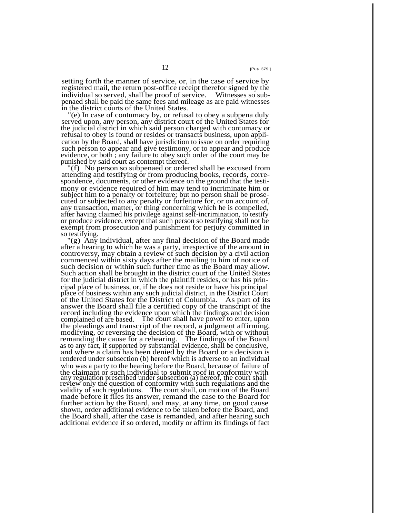setting forth the manner of service, or, in the case of service by registered mail, the return post-office receipt therefor signed by the individual so served, shall be proof of service. Witnesses so subpenaed shall be paid the same fees and mileage as are paid witnesses in the district courts of the United States.

"(e) In case of contumacy by, or refusal to obey a subpena duly served upon, any person, any district court of the United States for the judicial district in which said person charged with contumacy or refusal to obey is found or resides or transacts business, upon application by the Board, shall have jurisdiction to issue on order requiring such person to appear and give testimony, or to appear and produce evidence, or both ; any failure to obey such order of the court may be punished by said court as contempt thereof.

"(f) No person so subpenaed or ordered shall be excused from attending and testifying or from producing books, records, correspondence, documents, or other evidence on the ground that the testimony or evidence required of him may tend to incriminate him or subject him to a penalty or forfeiture; but no person shall be prosecuted or subjected to any penalty or forfeiture for, or on account of, any transaction, matter, or thing concerning which he is compelled, after having claimed his privilege against self-incrimination, to testify or produce evidence, except that such person so testifying shall not be exempt from prosecution and punishment for perjury committed in so testifying.

"(g) Any individual, after any final decision of the Board made after a hearing to which he was a party, irrespective of the amount in controversy, may obtain a review of such decision by a civil action commenced within sixty days after the mailing to him of notice of such decision or within such further time as the Board may allow. Such action shall be brought in the district court of the United States for the judicial district in which the plaintiff resides, or has his principal place of business, or, if he does not reside or have his principal place of business within any such judicial district, in the District Court of the United States for the District of Columbia. As part of its of the United States for the District of Columbia. answer the Board shall file a certified copy of the transcript of the record including the evidence upon which the findings and decision complained of are based. The court shall have power to enter, upon The court shall have power to enter, upon the pleadings and transcript of the record, a judgment affirming, modifying, or reversing the decision of the Board, with or without remanding the cause for a rehearing. The findings of the Board remanding the cause for a rehearing. as to any fact, if supported by substantial evidence, shall be conclusive, and where a claim has been denied by the Board or a decision is rendered under subsection (b) hereof which is adverse to an individual who was a party to the hearing before the Board, because of failure of the claimant or such individual to submit roof in conformity with any regulation prescribed under subsection (a) hereof, the court shall review only the question of conformity with such regulations and the validity of such regulations. The court shall, on motion of the Board The court shall, on motion of the Board. made before it files its answer, remand the case to the Board for further action by the Board, and may, at any time, on good cause shown, order additional evidence to be taken before the Board, and the Board shall, after the case is remanded, and after hearing such additional evidence if so ordered, modify or affirm its findings of fact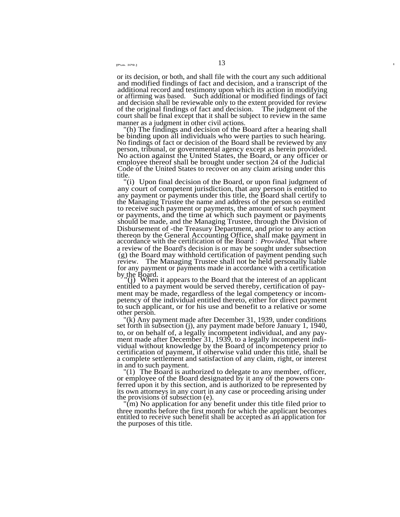or its decision, or both, and shall file with the court any such additional and modified findings of fact and decision, and a transcript of the additional record and testimony upon which its action in modifying Such additional or modified findings of fact and decision shall be reviewable only to the extent provided for review of the original findings of fact and decision. The judgment of the court shall be final except that it shall be subject to review in the same manner as a judgment in other civil actions.

"(h) The findings and decision of the Board after a hearing shall be binding upon all individuals who were parties to such hearing. No findings of fact or decision of the Board shall be reviewed by any person, tribunal, or governmental agency except as herein provided. No action against the United States, the Board, or any officer or employee thereof shall be brought under section 24 of the Judicial Code of the United States to recover on any claim arising under this title.

"(i) Upon final decision of the Board, or upon final judgment of any court of competent jurisdiction, that any person is entitled to any payment or payments under this title, the Board shall certify to the Managing Trustee the name and address of the person so entitled to receive such payment or payments, the amount of such payment or payments, and the time at which such payment or payments should be made, and the Managing Trustee, through the Division of Disbursement of -the Treasury Department, and prior to any action thereon by the General Accounting Office, shall make payment in accordance with the certification of the Board : *Provided,* That where a review of the Board's decision is or may be sought under subsection (g) the Board may withhold certification of payment pending such review. The Managing Trustee shall not be held personally liable for any payment or payments made in accordance with a certification

by the Board. "(j) When it appears to the Board that the interest of an applicant entitled to a payment would be served thereby, certification of payment may be made, regardless of the legal competency or incompetency of the individual entitled thereto, either for direct payment to such applicant, or for his use and benefit to a relative or some other person.

"(k) Any payment made after December 31, 1939, under conditions set forth in subsection (j), any payment made before January 1, 1940, to, or on behalf of, a legally incompetent individual, and any payment made after December 31, 1939, to a legally incompetent individual without knowledge by the Board of incompetency prior to certification of payment, if otherwise valid under this title, shall be a complete settlement and satisfaction of any claim, right, or interest in and to such payment.

"(1) The Board is authorized to delegate to any member, officer, or employee of the Board designated by it any of the powers conferred upon it by this section, and is authorized to be represented by its own attorneys in any court in any case or proceeding arising under the provisions of subsection (e).

"(m) No application for any benefit under this title filed prior to three months before the first month for which the applicant becomes entitled to receive such benefit shall be accepted as an application for the purposes of this title.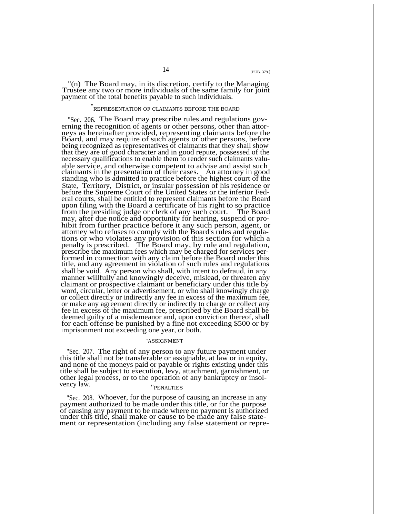"(n) The Board may, in its discretion, certify to the Managing Trustee any two or more individuals of the same family for joint payment of the total benefits payable to such individuals.

# " REPRESENTATION OF CLAIMANTS BEFORE THE BOARD

"Sec. 206. The Board may prescribe rules and regulations governing the recognition of agents or other persons, other than attorneys as hereinafter provided, representing claimants before the Board, and may require of such agents or other persons, before being recognized as representatives of claimants that they shall show that they are of good character and in good repute, possessed of the necessary qualifications to enable them to render such claimants valuable service, and otherwise competent to advise and assist such claimants in the presentation of their cases. An attorney in good standing who is admitted to practice before the highest court of the State, Territory, District, or insular possession of his residence or before the Supreme Court of the United States or the inferior Federal courts, shall be entitled to represent claimants before the Board upon filing with the Board a certificate of his right to so practice<br>from the presiding judge or clerk of any such court. The Board from the presiding judge or clerk of any such court. may, after due notice and opportunity for hearing, suspend or prohibit from further practice before it any such person, agent, or attorney who refuses to comply with the Board's rules and regulations or who violates any provision of this section for which a penalty is prescribed. The Board may, by rule and regulation, The Board may, by rule and regulation, prescribe the maximum fees which may be charged for services performed in connection with any claim before the Board under this title, and any agreement in violation of such rules and regulations shall be void. Any person who shall, with intent to defraud, in any manner willfully and knowingly deceive, mislead, or threaten any claimant or prospective claimant or beneficiary under this title by word, circular, letter or advertisement, or who shall knowingly charge or collect directly or indirectly any fee in excess of the maximum fee, or make any agreement directly or indirectly to charge or collect any fee in excess of the maximum fee, prescribed by the Board shall be deemed guilty of a misdemeanor and, upon conviction thereof, shall for each offense be punished by a fine not exceeding \$500 or by imprisonment not exceeding one year, or both.

### "ASSIGNMENT

"Sec. 207. The right of any person to any future payment under this title shall not be transferable or assignable, at law or in equity, and none of the moneys paid or payable or rights existing under this title shall be subject to execution, levy, attachment, garnishment, or other legal process, or to the operation of any bankruptcy or insolvency law. "PENALTIES"

"Sec. 208. Whoever, for the purpose of causing an increase in any payment authorized to be made under this title, or for the purpose of causing any payment to be made where no payment is authorized under this title, shall make or cause to be made any false statement or representation (including any false statement or repre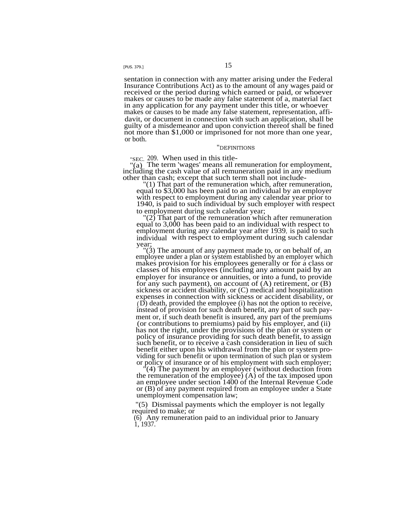sentation in connection with any matter arising under the Federal Insurance Contributions Act) as to the amount of any wages paid or received or the period during which earned or paid, or whoever makes or causes to be made any false statement of a, material fact in any application for any payment under this title, or whoever makes or causes to be made any false statement, representation, affidavit, or document in connection with such an application, shall be guilty of a misdemeanor and upon conviction thereof shall be fined not more than \$1,000 or imprisoned for not more than one year, or both.

### "DEFINITIONS

"SEC. 209. When used in this title-

"(a). The term 'wages' means all remuneration for employment, including the cash value of all remuneration paid in any medium other than cash; except that such term shall not include-

 $(1)$  That part of the remuneration which, after remuneration, equal to \$3,000 has been paid to an individual by an employer with respect to employment during any calendar year prior to 1940, is paid to such individual by such employer with respect to employment during such calendar year;

 $\Gamma(2)$  That part of the remuneration which after remuneration equal to 3,000 has been paid to an individual with respect to employment during any calendar year after 1939, is paid to such individual with respect to employment during such calendar year;

 $(3)$  The amount of any payment made to, or on behalf of, an employee under a plan or system established by an employer which makes provision for his employees generally or for a class or classes of his employees (including any amount paid by an employer for insurance or annuities, or into a fund, to provide for any such payment), on account of  $(A)$  retirement, or  $(B)$ sickness or accident disability, or (C) medical and hospitalization expenses in connection with sickness or accident disability, or (D) death, provided the employee (i) has not the option to receive, instead of provision for such death benefit, any part of such payment or, if such death benefit is insured, any part of the premiums (or contributions to premiums) paid by his employer, and (ii) has not the right, under the provisions of the plan or system or policy of insurance providing for such death benefit, to assign such benefit, or to receive a cash consideration in lieu of such benefit either upon his withdrawal from the plan or system providing for such benefit or upon termination of such plan or system or policy of insurance or of his employment with such employer;

"(4) The payment by an employer (without deduction from the remuneration of the employee) (A) of the tax imposed upon an employee under section 1400 of the Internal Revenue Code or (B) of any payment required from an employee under a State unemployment compensation law;

 "(5) Dismissal payments which the employer is not legally required to make; or

(6) Any remuneration paid to an individual prior to January 1, 1937.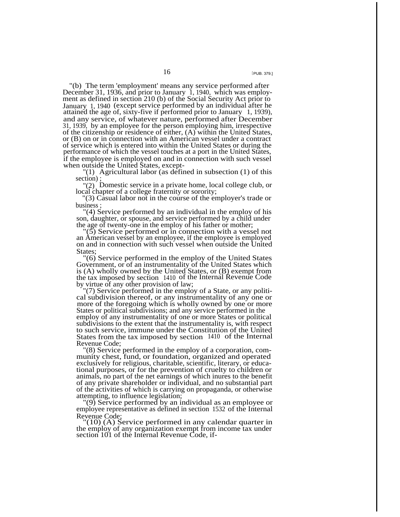"(b) The term 'employment' means any service performed after December 31, 1936, and prior to January 1, 1940, which was employment as defined in section 210 (b) of the Social Security Act prior to January 1, 1940 (except service performed by an individual after he attained the age of, sixty-five if performed prior to January 1, 1939), and any service, of whatever nature, performed after December 31, 1939, by an employee for the person employing him, irrespective of the citizenship or residence of either, (A) within the United States, or (B) on or in connection with an American vessel under a contract of service which is entered into within the United States or during the performance of which the vessel touches at a port in the United States, if the employee is employed on and in connection with such vessel when outside the United States, except-

"(1) Agricultural labor (as defined in subsection (1) of this section) ;

"(2) Domestic service in a private home, local college club, or local chapter of a college fraternity or sorority;

"(3) Casual labor not in the course of the employer's trade or business ;

"(4) Service performed by an individual in the employ of his son, daughter, or spouse, and service performed by a child under the age of twenty-one in the employ of his father or mother;

"(5) Service performed or in connection with a vessel not an American vessel by an employee, if the employee is employed on and in connection with such vessel when outside the United States;

"(6) Service performed in the employ of the United States Government, or of an instrumentality of the United States which is (A) wholly owned by the United States, or (B) exempt from the tax imposed by section 1410 of the Internal Revenue Code by virtue of any other provision of law;

"(7) Service performed in the employ of a State, or any political subdivision thereof, or any instrumentality of any one or more of the foregoing which is wholly owned by one or more States or political subdivisions; and any service performed in the employ of any instrumentality of one or more States or political subdivisions to the extent that the instrumentality is, with respect to such service, immune under the Constitution of the United

States from the tax imposed by section <sup>1410</sup> of the Internal Revenue Code;

"(8) Service performed in the employ of a corporation, community chest, fund, or foundation, organized and operated exclusively for religious, charitable, scientific, literary, or educational purposes, or for the prevention of cruelty to children or animals, no part of the net earnings of which inures to the benefit of any private shareholder or individual, and no substantial part of the activities of which is carrying on propaganda, or otherwise attempting, to influence legislation;

"(9) Service performed by an individual as an employee or employee representative as defined in section 1532 of the Internal Revenue Code;

 $(10)$  (A) Service performed in any calendar quarter in the employ of any organization exempt from income tax under section 101 of the Internal Revenue Code, if-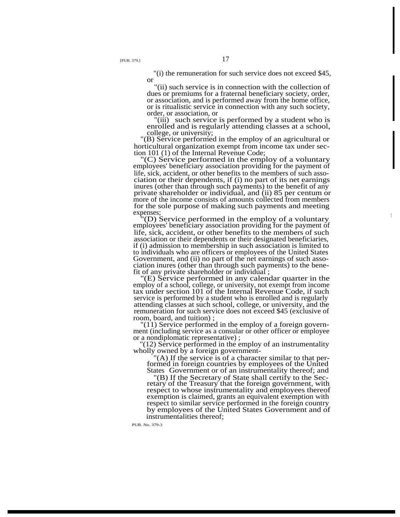"(i) the remuneration for such service does not exceed \$45, or

"(ii) such service is in connection with the collection of dues or premiums for a fraternal beneficiary society, order, or association, and is performed away from the home office, or is ritualistic service in connection with any such society, order, or association, or

"(iii) such service is performed by a student who is enrolled and is regularly attending classes at a school, college, or university;

"(B) Service performed in the employ of an agricultural or horticultural organization exempt from income tax under section 101 (1) of the Internal Revenue Code;

"(C) Service performed in the employ of a voluntary employees' beneficiary association providing for the payment of life, sick, accident, or other benefits to the members of such association or their dependents, if (i) no part of its net earnings inures (other than through such payments) to the benefit of any private shareholder or individual, and (ii) 85 per centum or more of the income consists of amounts collected from members for the sole purpose of making such payments and meeting expenses;

(D) Service performed in the employ of a voluntary employees' beneficiary association providing for the payment of life, sick, accident, or other benefits to the members of such association or their dependents or their designated beneficiaries, if (i) admission to membership in such association is limited to to individuals who are officers or employees of the United States Government, and (ii) no part of the net earnings of such association inures (other than through such payments) to the benefit of any private shareholder or individual ;

"(E) Service performed in any calendar quarter in the employ of a school, college, or university, not exempt from income tax under section 101 of the Internal Revenue Code, if such service is performed by a student who is enrolled and is regularly attending classes at such school, college, or university, and the remuneration for such service does not exceed \$45 (exclusive of room, board, and tuition) ;

"(11) Service performed in the employ of a foreign government (including service as a consular or other officer or employee or a nondiplomatic representative) ;

"(12) Service performed in the employ of an instrumentality wholly owned by a foreign government-

"(A) If the service is of a character similar to that performed in foreign countries by employees of the United States Government or of an instrumentality thereof; and

"(B) If the Secretary of State shall certify to the Secretary of the Treasury that the foreign government, with respect to whose instrumentality and employees thereof exemption is claimed, grants an equivalent exemption with respect to similar service performed in the foreign country by employees of the United States Government and of instrumentalities thereof;

PUB. No. 379-3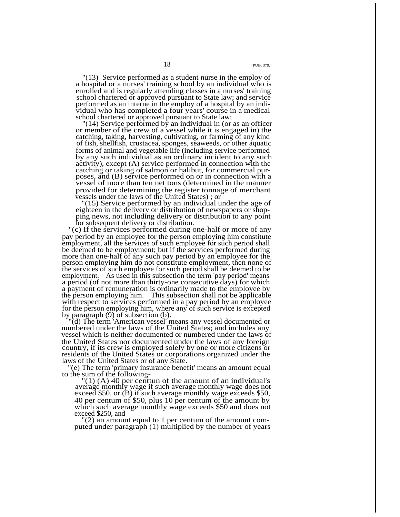"(13) Service performed as a student nurse in the employ of a hospital or a nurses' training school by an individual who is enrolled and is regularly attending classes in a nurses' training school chartered or approved pursuant to State law; and service performed as an interne in the employ of a hospital by an individual who has completed a four years' course in a medical school chartered or approved pursuant to State law;

 $(14)$  Service performed by an individual in (or as an officer or member of the crew of a vessel while it is engaged in) the catching, taking, harvesting, cultivating, or farming of any kind of fish, shellfish, crustacea, sponges, seaweeds, or other aquatic forms of animal and vegetable life (including service performed by any such individual as an ordinary incident to any such activity), except (A) service performed in connection with the catching or taking of salmon or halibut, for commercial purposes, and (B) service performed on or in connection with a vessel of more than ten net tons (determined in the manner provided for determining the register tonnage of merchant vessels under the laws of the United States) ; or

"(15) Service performed by an individual under the age of eighteen in the delivery or distribution of newspapers or shopping news, not including delivery or distribution to any point for subsequent delivery or distribution.

"(c) If the services performed during one-half or more of any pay period by an employee for the person employing him constitute employment, all the services of such employee for such period shall be deemed to be employment; but if the services performed during more than one-half of any such pay period by an employee for the person employing him do not constitute employment, then none of the services of such employee for such period shall be deemed to be employment. As used in this subsection the term 'pay period' means As used in this subsection the term 'pay period' means a period (of not more than thirty-one consecutive days) for which a payment of remuneration is ordinarily made to the employee by the person employing him. This subsection shall not be applicable with respect to services performed in a pay period by an employee for the person employing him, where any of such service is excepted by paragraph (9) of subsection (b).

(d) The term 'American vessel' means any vessel documented or numbered under the laws of the United States; and includes any vessel which is neither documented or numbered under the laws of the United States nor documented under the laws of any foreign country, if its crew is employed solely by one or more citizens or residents of the United States or corporations organized under the laws of the United States or of any State.

"(e) The term 'primary insurance benefit' means an amount equal to the sum of the following-

"(1) (A) 40 per centtun of the amount of an individual's average monthly wage if such average monthly wage does not exceed \$50, or (B) if such average monthly wage exceeds \$50, 40 per centum of \$50, plus 10 per centum of the amount by which such average monthly wage exceeds \$50 and does not exceed \$250, and

"(2) an amount equal to 1 per centum of the amount computed under paragraph (1) multiplied by the number of years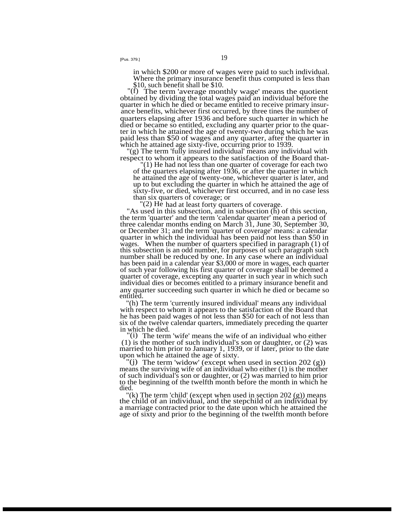in which \$200 or more of wages were paid to such individual. Where the primary insurance benefit thus computed is less than

\$10, such benefit shall be \$10.

 $"(\hat{f})$  The term 'average monthly wage' means the quotient obtained by dividing the total wages paid an individual before the quarter in which he died or became entitled to receive primary insurance benefits, whichever first occurred, by three tines the number of quarters elapsing after 1936 and before such quarter in which he died or became so entitled, excluding any quarter prior to the quarter in which he attained the age of twenty-two during which he was paid less than \$50 of wages and any quarter, after the quarter in which he attained age sixty-five, occurring prior to 1939.

"(g) The term 'fully insured individual' means any individual with respect to whom it appears to the satisfaction of the Board that-

"(1) He had not less than one quarter of coverage for each two of the quarters elapsing after 1936, or after the quarter in which he attained the age of twenty-one, whichever quarter is later, and up to but excluding the quarter in which he attained the age of sixty-five, or died, whichever first occurred, and in no case less than six quarters of coverage; or

"(2) He had at least forty quarters of coverage.

"As used in this subsection, and in subsection (h) of this section, the term 'quarter' and the term 'calendar quarter' mean a period of three calendar months ending on March 31, June 30, September 30, or December 31; and the term 'quarter of coverage' means: a calendar quarter in which the individual has been paid not less than \$50 in wages. When the number of quarters specified in paragraph (1) of this subsection is an odd number, for purposes of such paragraph such number shall be reduced by one. In any case where an individual has been paid in a calendar year \$3,000 or more in wages, each quarter of such year following his first quarter of coverage shall be deemed a quarter of coverage, excepting any quarter in such year in which such individual dies or becomes entitled to a primary insurance benefit and any quarter succeeding such quarter in which he died or became so entitled.

"(h) The term 'currently insured individual' means any individual with respect to [whom it a](http://whom.it)ppears to the satisfaction of the Board that he has been paid wages of not less than \$50 for each of not less than six of the twelve calendar quarters, immediately preceding the quarter in which he died.

"(i) The term 'wife' means the wife of an individual who either (1) is the mother of such individual's son or daughter, or (2) was married to him prior to January 1, 1939, or if later, prior to the date upon which he attained the age of sixty.

(j) The term 'widow' (except when used in section  $202$  (g)) means the surviving wife of an individual who either (1) is the mother of such individual's son or daughter, or (2) was married to him prior to the beginning of the twelfth month before the month in which he died.

"(k) The term 'child' (except when used in section  $202$  (g)) means the child of an individual, and the stepchild of an individual by a marriage contracted prior to the date upon which he attained the age of sixty and prior to the beginning of the twelfth month before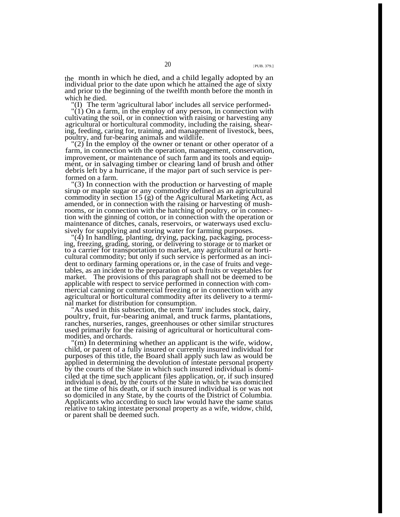the month in which he died, and a child legally adopted by an individual prior to the date upon which he attained the age of sixty and prior to the beginning of the twelfth month before the month in which he died.

"(I) The term 'agricultural labor' includes all service performed-

 $\mathbb{I}(1)$  On a farm, in the employ of any person, in connection with cultivating the soil, or in connection with raising or harvesting any agricultural or horticultural commodity, including the raising, shearing, feeding, caring for, training, and management of livestock, bees, poultry, and fur-bearing animals and wildlife.

"(2) In the employ of the owner or tenant or other operator of a farm, in connection with the operation, management, conservation, improvement, or maintenance of such farm and its tools and equipment, or in salvaging timber or clearing land of brush and other debris left by a hurricane, if the major part of such service is performed on a farm.

"(3) In connection with the production or harvesting of maple sirup or maple sugar or any commodity defined as an agricultural commodity in section 15 (g) of the Agricultural Marketing Act, as amended, or in connection with the raising or harvesting of mushrooms, or in connection with the hatching of poultry, or in connection with the ginning of cotton, or in connection with the operation or maintenance of ditches, canals, reservoirs, or waterways used exclusively for supplying and storing water for farming purposes.

"(4) In handling, planting, drying, packing, packaging, processing, freezing, grading, storing, or delivering to storage or to market or to a carrier for transportation to market, any agricultural or horticultural commodity; but only if such service is performed as an incident to ordinary farming operations or, in the case of fruits and vegetables, as an incident to the preparation of such fruits or vegetables for market. The provisions of this paragraph shall not be deemed to be applicable with respect to service performed in connection with commercial canning or commercial freezing or in connection with any agricultural or horticultural commodity after its delivery to a terminal market for distribution for consumption.

"As used in this subsection, the term 'farm' includes stock, dairy, poultry, fruit, fur-bearing animal, and truck farms, plantations, ranches, nurseries, ranges, greenhouses or other similar structures used primarily for the raising of agricultural or horticultural commodities, and orchards.

"(m) In determining whether an applicant is the wife, widow, child, or parent of a fully insured or currently insured individual for purposes of this title, the Board shall apply such law as would be applied in determining the devolution of intestate personal property by the courts of the State in which such insured individual is domiciled at the time such applicant files application, or, if such insured individual is dead, by the courts of the State in which he was domiciled at the time of his death, or if such insured individual is or was not so domiciled in any State, by the courts of the District of Columbia. Applicants who according to such law would have the same status relative to taking intestate personal property as a wife, widow, child, or parent shall be deemed such.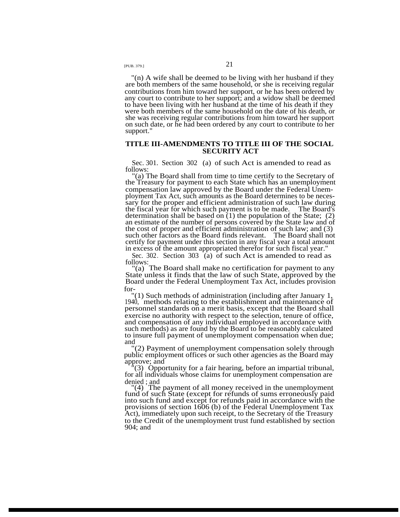$[PUB. 379.]$  21

"(n) A wife shall be deemed to be living with her husband if they are both members of the same household, or she is receiving regular contributions from him toward her support, or he has been ordered by any court to contribute to her support; and a widow shall be deemed to have been living with her husband at the time of his death if they were both members of the same household on the date of his death, or she was receiving regular contributions from him toward her support on such date, or he had been ordered by any court to contribute to her support."

### **TITLE III-AMENDMENTS TO TITLE III OF THE SOCIAL SECURITY ACT**

Sec. 301. Section 302 (a) of such Act is amended to read as follows:

"(a) The Board shall from time to time certify to the Secretary of the Treasury for payment to each State which has an unemployment compensation law approved by the Board under the Federal Unemployment Tax Act, such amounts as the Board determines to be necessary for the proper and efficient administration of such law during the fiscal year for which such payment is to be made. The Board's the fiscal year for which such payment is to be made. determination shall be based on  $(1)$  the population of the State;  $(2)$ an estimate of the number of persons covered by the State law and of the cost of proper and efficient administration of such law; and (3) such other factors as the Board finds relevant. The Board shall not such other factors as the Board finds relevant. certify for payment under this section in any fiscal year a total amount in excess of the amount appropriated therefor for such fiscal year."

Sec. 302. Section 303 (a) of such Act is amended to read as follows:

"(a) The Board shall make no certification for payment to any State unless it finds that the law of such State, approved by the Board under the Federal Unemployment Tax Act, includes provision for-

"(1) Such methods of administration (including after January 1, 1940, methods relating to the establishment and maintenance of personnel standards on a merit basis, except that the Board shall exercise no authority with respect to the selection, tenure of office, and compensation of any individual employed in accordance with such methods) as are found by the Board to be reasonably calculated to insure full payment of unemployment compensation when due; and

"(2) Payment of unemployment compensation solely through public employment offices or such other agencies as the Board may approve; and

(3) Opportunity for a fair hearing, before an impartial tribunal, for all individuals whose claims for unemployment compensation are

denied ; and "(4) The payment of all money received in the unemployment fund of such State (except for refunds of sums erroneously paid into such fund and except for refunds paid in accordance with the provisions of section 1606 (b) of the Federal Unemployment Tax Act), immediately upon such receipt, to the Secretary of the Treasury to the Credit of the unemployment trust fund established by section 904; and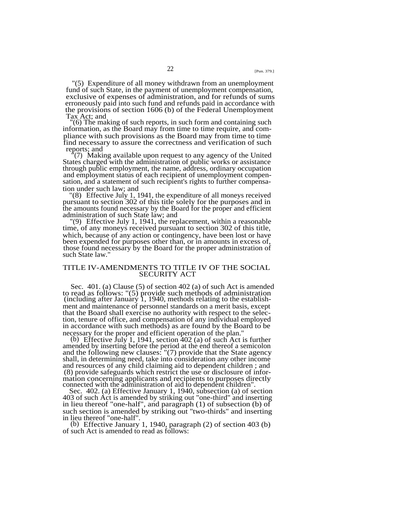"(5) Expenditure of all money withdrawn from an unemployment fund of such State, in the payment of unemployment compensation, exclusive of expenses of administration, and for refunds of sums erroneously paid into such fund and refunds paid in accordance with the provisions of section 1606 (b) of the Federal Unemployment Tax Act; and

"(6) The making of such reports, in such form and containing such information, as the Board may from time to time require, and compliance with such provisions as the Board may from time to time find necessary to assure the correctness and verification of such reports; and

(7) Making available upon request to any agency of the United States charged with the administration of public works or assistance through public employment, the name, address, ordinary occupation and employment status of each recipient of unemployment compensation, and a statement of such recipient's rights to further compensation under such law; and

"(8) Effective July 1, 1941, the expenditure of all moneys received pursuant to section 302 of this title solely for the purposes and in the amounts found necessary by the Board for the proper and efficient administration of such State law; and

"(9) Effective July 1, 1941, the replacement, within a reasonable time, of any moneys received pursuant to section 302 of this title, which, because of any action or contingency, have been lost or have been expended for purposes other than, or in amounts in excess of, those found necessary by the Board for the proper administration of such State law."

### TITLE IV-AMENDMENTS TO TITLE IV OF THE SOCIAL SECURITY ACT

Sec. 401. (a) Clause (5) of section 402 (a) of such Act is amended to read as follows: "(5) provide such methods of administration (including after January 1, 1940, methods relating to the establishment and maintenance of personnel standards on a merit basis, except that the Board shall exercise no authority with respect to the selection, tenure of office, and compensation of any individual employed in accordance with such methods) as are found by the Board to be necessary for the proper and efficient operation of the plan."

(b) Effective July 1, 1941, section 402 (a) of such Act is further amended by inserting before the period at the end thereof a semicolon and the following new clauses: "(7) provide that the State agency shall, in determining need, take into consideration any other income and resources of any child claiming aid to dependent children ; and (8) provide safeguards which restrict the use or disclosure of information concerning applicants and recipients to purposes directly connected with the administration of aid to dependent children".

Sec. 402. (a) Effective January 1, 1940, subsection (a) of section 403 of such Act is amended by striking out "one-third" and inserting in lieu thereof "one-half", and paragraph (1) of subsection (b) of such section is amended by striking out "two-thirds" and inserting in lieu thereof "one-half".

(b) Effective January 1, 1940, paragraph (2) of section 403 (b) of such Act is amended to read as follows: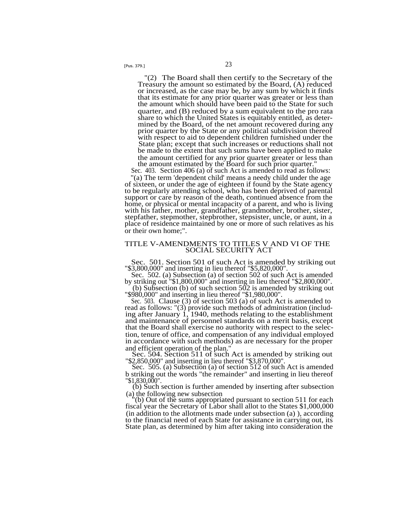"(2) The Board shall then certify to the Secretary of the Treasury the amount so estimated by the Board, (A) reduced or increased, as the case may be, by any sum by which it finds that its estimate for any prior quarter was greater or less than the amount which should have been paid to the State for such quarter, and (B) reduced by a sum equivalent to the pro rata share to which the United States is equitably entitled, as determined by the Board, of the net amount recovered during any prior quarter by the State or any political subdivision thereof with respect to aid to dependent children furnished under the State plan; except that such increases or reductions shall not be made to the extent that such sums have been applied to make the amount certified for any prior quarter greater or less than the amount estimated by the Board for such prior quarter."

Sec. 403. Section 406 (a) of such Act is amended to read as follows: "(a) The term 'dependent child' means a needy child under the age

of sixteen, or under the age of eighteen if found by the State agency to be regularly attending school, who has been deprived of parental support or care by reason of the death, continued absence from the home, or physical or mental incapacity of a parent, and who is living with his father, mother, grandfather, grandmother, brother, sister, stepfather, stepmother, stepbrother, stepsister, uncle, or aunt, in a place of residence maintained by one or more of such relatives as his or their own home;".

### TITLE V-AMENDMENTS TO TITLES V AND VI OF THE SOCIAL SECURITY ACT

Sec. 501. Section 501 of such Act is amended by striking out "\$3,800,000" and inserting in lieu thereof "\$5,820,000".

Sec. 502. (a) Subsection (a) of section 502 of such Act is amended by striking out "\$1,800,000" and inserting in lieu thereof "\$2,800,000".

(b) Subsection (b) of such section 502 is amended by striking out "\$980,000" and inserting in lieu thereof "\$1,980,000".

Sec. 503. Clause (3) of section 503 (a) of such Act is amended to read as follows: "(3) provide such methods of administration (including after January 1, 1940, methods relating to the establishment and maintenance of personnel standards on a merit basis, except that the Board shall exercise no authority with respect to the selection, tenure of office, and compensation of any individual employed in accordance with such methods) as are necessary for the proper and efficient operation of the plan."

Sec. 504. Section 511 of such Act is amended by striking out "\$2,850,000" and inserting in lieu thereof "\$3,870,000".

Sec. 505. (a) Subsection (a) of section 512 of such Act is amended b striking out the words "the remainder" and inserting in lieu thereof "\$1,830,000".

(b) Such section is further amended by inserting after subsection (a) the following new subsection

(b) Out of the sums appropriated pursuant to section 511 for each fiscal year the Secretary of Labor shall allot to the States \$1,000,000 (in addition to the allotments made under subsection (a) ), according to the financial need of each State for assistance in carrying out, its State plan, as determined by him after taking into consideration the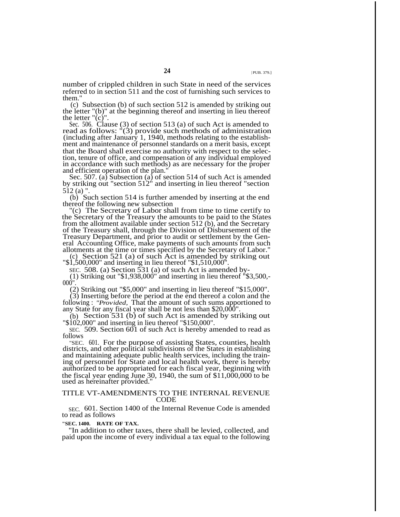number of crippled children in such State in need of the services referred to in section 511 and the cost of furnishing such services to them."

(c) Subsection (b) of such section 512 is amended by striking out the letter "(b)" at the beginning thereof and inserting in lieu thereof the letter " $(c)$ ".

Sec. 506. Clause (3) of section 513 (a) of such Act is amended to read as follows: "(3) provide such methods of administration  $(including after January 1, 1940, methods relating to the establishment.$ ment and maintenance of personnel standards on a merit basis, except that the Board shall exercise no authority with respect to the selection, tenure of office, and compensation of any individual employed in accordance with such methods) as are necessary for the proper and efficient operation of the plan."

Sec. 507. (a) Subsection (a) of section 514 of such Act is amended by striking out "section 512" and inserting in lieu thereof "section 512 (a) ".

(b) Such section 514 is further amended by inserting at the end thereof the following new subsection

"(c) The Secretary of Labor shall from time to time certify to the Secretary of the Treasury the amounts to be paid to the States from the allotment available under section 512 (b), and the Secretary of the Treasury shall, through the Division of Disbursement of the Treasury Department, and prior to audit or settlement by the General Accounting Office, make payments of such amounts from such allotments at the time or times specified by the Secretary of Labor."

(c) Section 521 (a) of such Act is amended by striking out "\$1,500,000" and inserting in lieu thereof "\$1,510,000".

SEC. 508. (a) Section 531 (a) of such Act is amended by-

(1) Striking out " $$1,938,000$ " and inserting in lieu thereof  $$3,500,$ -000".

(2) Striking out "\$5,000" and inserting in lieu thereof "\$15,000".

(3) Inserting before the period at the end thereof a colon and the following : *"Provided,* That the amount of such sums apportioned to any State for any fiscal year shall be not less than \$20,000".

(b) Section 531 (b) of such Act is amended by striking out "\$102,000" and inserting in lieu thereof "\$150,000".

SEC. 509. Section 601 of such Act is hereby amended to read as follows

"SEC. 601. For the purpose of assisting States, counties, health districts, and other political subdivisions of the States in establishing and maintaining adequate public health services, including the training of personnel for State and local health work, there is hereby authorized to be appropriated for each fiscal year, beginning with the fiscal year ending June 30, 1940, the sum of \$11,000,000 to be used as hereinafter provided."

### TITLE VT-AMENDMENTS TO THE INTERNAL REVENUE **CODE**

SEC. 601. Section 1400 of the Internal Revenue Code is amended to read as follows

### **"SEC. 1400. RATE OF TAX.**

"In addition to other taxes, there shall be levied, collected, and paid upon the income of every individual a tax equal to the following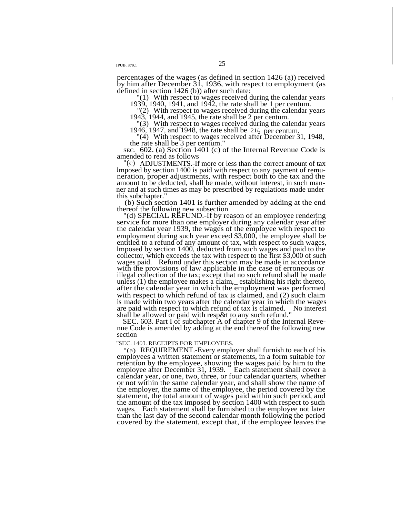percentages of the wages (as defined in section 1426 (a)) received by him after December 31, 1936, with respect to employment (as defined in section 1426 (b)) after such date:

(1) With respect to wages received during the calendar years 1939, 1940, 1941, and 1942, the rate shall be 1 per centum.

"(2) With respect to wages received during the calendar years 1943, 1944, and 1945, the rate shall be 2 per centum.

"(3) With respect to wages received during the calendar years 1946, 1947, and 1948, the rate shall be  $21/2$  per centum.

"(4) With respect to wages received after December 31, 1948, the rate shall be 3 per centum."

SEC. 602. (a) Section 1401 (c) of the Internal Revenue Code is amended to read as follows

"(c) ADJUSTMENTS.-If more or less than the correct amount of tax imposed by section 1400 is paid with respect to any payment of remuneration, proper adjustments, with respect both to the tax and the amount to be deducted, shall be made, without interest, in such manner and at such times as may be prescribed by regulations made under this subchapter."

(b) Such section 1401 is further amended by adding at the end thereof the following new subsection

"(d) SPECIAL REFUND.-If by reason of an employee rendering service for more than one employer during any calendar year after the calendar year 1939, the wages of the employee with respect to employment during such year exceed \$3,000, the employee shall be entitled to a refund of any amount of tax, with respect to such wages, imposed by section 1400, deducted from such wages and paid to the collector, which exceeds the tax with respect to the first \$3,000 of such wages paid. Refund under this section may be made in accordance Refund under this section may be made in accordance with the provisions of law applicable in the case of erroneous or illegal collection of the tax; except that no such refund shall be made unless (1) the employee makes a claim,\_ establishing his right thereto, after the calendar year in which the employment was performed with respect to which refund of tax is claimed, and (2) such claim is made within two years after the calendar year in which the wages are paid with respect to which refund of tax is claimed. No interest shall be allowed or paid with resp&t to any such refund."

SEC. 603. Part I of subchapter A of chapter 9 of the Internal Revenue Code is amended by adding at the end thereof the following new section

"SEC. 1403. RECEIPTS FOR EMPLOYEES.

"(a) REQUIREMENT.-Every employer shall furnish to each of his employees a written statement or statements, in a form suitable for retention by the employee, showing the wages paid by him to the employee after December 31, 1939. Each statement shall cover a employee after December 31, 1939. calendar year, or one, two, three, or four calendar quarters, whether or not within the same calendar year, and shall show the name of the employer, the name of the employee, the period covered by the statement, the total amount of wages paid within such period, and the amount of the tax imposed by section 1400 with respect to such wages. Each statement shall be furnished to the employee not later than the last day of the second calendar month following the period covered by the statement, except that, if the employee leaves the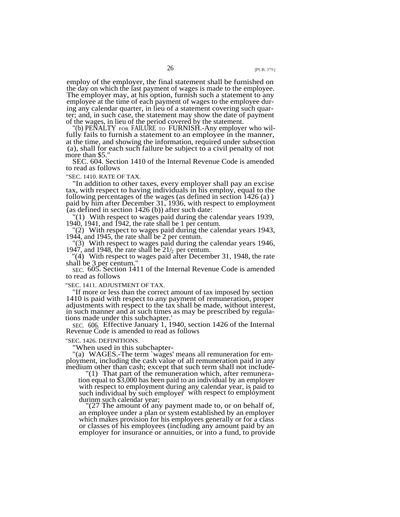employ of the employer, the final statement shall be furnished on the day on which the last payment of wages is made to the employee. The employer may, at his option, furnish such a statement to any employee at the time of each payment of wages to the employee during any calendar quarter, in lieu of a statement covering such quarter; and, in such case, the statement may show the date of payment of the wages, in lieu of the period covered by the statement.

"(b) PENALTY FOR FAILURE TO FURNISH.-Any employer who wilfully fails to furnish a statement to an employee in the manner, at the time, and showing the information, required under subsection (a), shall for each such failure be subject to a civil penalty of not more than \$5."

SEC. 604. Section 1410 of the Internal Revenue Code is amended to read as follows

"SEC. 1410. RATE OF TAX.

"In addition to other taxes, every employer shall pay an excise tax, with respect to having individuals in his employ, equal to the following percentages of the wages (as defined in section 1426 (a) ) paid by him after December 31, 1936, with respect to employment (as defined in section  $1426$  (b)) after such date:

"(1) With respect to wages paid during the calendar years 1939, 1940, 1941, and 1942, the rate shall be 1 per centum.

"(2) With respect to wages paid during the calendar years 1943, 1944, and 1945, the rate shall be 2 per centum.

"(3) With respect to wages paid during the calendar years 1946, 1947, and 1948, the rate shall be  $21/2$  per centum.

"(4) With respect to wages paid after December 31, 1948, the rate shall be 3 per centum."

SEC. 605. Section 1411 of the Internal Revenue Code is amended to read as follows

"SEC. 1411. ADJUSTMENT OF TAX.

"If more or less than the correct amount of tax imposed by section 1410 is paid with respect to any payment of remuneration, proper adjustments with respect to the tax shall be made, without interest, in such manner and at such times as may be prescribed by regulations made under this subchapter.'

SEC. 606. Effective January 1, 1940, section 1426 of the Internal Revenue Code is amended to read as follows

"SEC. 1426. DEFINITIONS.

"When used in this subchapter-

"(a) WAGES.-The term `wages' means all remuneration for employment, including the cash value of all remuneration paid in any medium other than cash; except that such term shall not include-

"(1) That part of the remuneration which, after remuneration equal to \$3,000 has been paid to an individual by an employer with respect to employment during any calendar year, is paid to such individual by such employer with respect to employment durinm such calendar year;

"(27 The amount of any payment made to, or on behalf of, an employee under a plan or system established by an employer which makes provision for his employees generally or for a class or classes of his employees (including any amount paid by an employer for insurance or annuities, or into a fund, to provide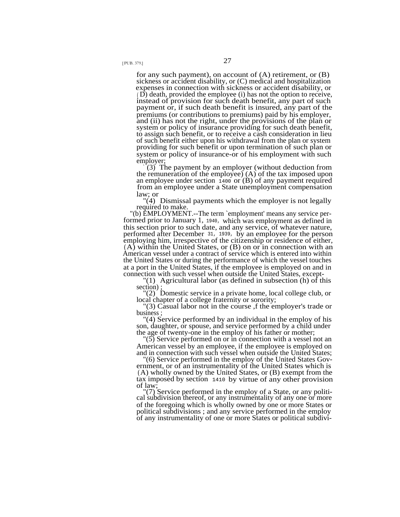for any such payment), on account of (A) retirement, or (B) sickness or accident disability, or (C) medical and hospitalization expenses in connection with sickness or accident disability, or ( D) death, provided the employee (i) has not the option to receive, instead of provision for such death benefit, any part of such payment or, if such death benefit is insured, any part of the premiums (or contributions to premiums) paid by his employer, and (ii) has not the right, under the provisions of the plan or system or policy of insurance providing for such death benefit, to assign such benefit, or to receive a cash consideration in lieu of such benefit either upon his withdrawal from the plan or system providing for such benefit or upon termination of such plan or system or policy of insurance-or of his employment with such employer;

` (3) The payment by an employer (without deduction from the remuneration of the employee) (A) of the tax imposed upon an employee under section  $1400$  or (B) of any payment required from an employee under a State unemployment compensation law; or

"(4) Dismissal payments which the employer is not legally required to make.

"(b) EMPLOYMENT.--The term `employment' means any service performed prior to January 1, 1940, which was employment as defined in this section prior to such date, and any service, of whatever nature, performed after December 31, 1939, by an employee for the person employing him, irrespective of the citizenship or residence of either, (A) within the United States, or (B) on or in connection with an American vessel under a contract of service which is entered into within the United States or during the performance of which the vessel touches at a port in the United States, if the employee is employed on and in connection with such vessel when outside the United States, except-

"(1) Agricultural labor (as defined in subsection (h) of this section) ;

"(2) Domestic service in a private home, local college club, or local chapter of a college fraternity or sorority;

"(3) Casual labor not in the course ,f the employer's trade or business ;

"(4) Service performed by an individual in the employ of his son, daughter, or spouse, and service performed by a child under the age of twenty-one in the employ of his father or mother;

"(5) Service performed on or in connection with a vessel not an American vessel by an employee, if the employee is employed on and in connection with such vessel when outside the United States;

"(6) Service performed in the employ of the United States Government, or of an instrumentality of the United States which is (A) wholly owned by the United States, or (B) exempt from the tax imposed by section <sup>1410</sup> by virtue of any other provision of law;

"(7) Service performed in the employ of a State, or any political subdivision thereof, or any instrumentality of any one or more of the foregoing which is wholly owned by one or more States or political subdivisions ; and any service performed in the employ of any instrumentality of one or more States or political subdivi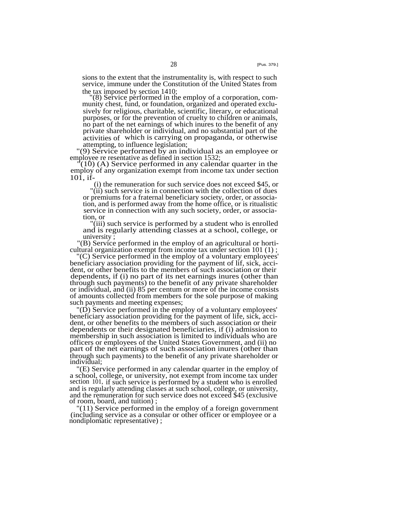sions to the extent that the instrumentality is, with respect to such service, immune under the Constitution of the United States from the tax imposed by section 1410;

(8) Service performed in the employ of a corporation, community chest, fund, or foundation, organized and operated exclusively for religious, charitable, scientific, literary, or educational purposes, or for the prevention of cruelty to children or animals, no part of the net earnings of which inures to the benefit of any private shareholder or individual, and no substantial part of the activities of which is carrying on propaganda, or otherwise attempting, to influence legislation;

"(9) Service performed by an individual as an employee or employee re resentative as defined in section 1532;

 $(10)$  (A) Service performed in any calendar quarter in the employ of any organization exempt from income tax under section 101, if-

(i) the remuneration for such service does not exceed \$45, or

"(ii) such service is in connection with the collection of dues or premiums for a fraternal beneficiary society, order, or association, and is performed away from the home office, or is ritualistic service in connection with any such society, order, or association, or

"(iii) such service is performed by a student who is enrolled and is regularly attending classes at a school, college, or university ;

"(B) Service performed in the employ of an agricultural or horticultural organization exempt from income tax under section 101 (1) ;

"(C) Service performed in the employ of a voluntary employees' beneficiary association providing for the payment of lif, sick, accident, or other benefits to the members of such association or their dependents, if (i) no part of its net earnings inures (other than through such payments) to the benefit of any private shareholder or individual, and (ii) 85 per centum or more of the income consists of amounts collected from members for the sole purpose of making such payments and meeting expenses;

"(D) Service performed in the employ of a voluntary employees' beneficiary association providing for the payment of life, sick, accident, or other benefits to the members of such association or their dependents or their designated beneficiaries, if (i) admission to membership in such association is limited to individuals who are officers or employees of the United States Government, and (ii) no part of the net earnings of such association inures (other than through such payments) to the benefit of any private shareholder or individual;

"(E) Service performed in any calendar quarter in the employ of a school, college, or university, not exempt from income tax under section 101, if such service is performed by a student who is enrolled and is regularly attending classes at such school, college, or university, and the remuneration for such service does not exceed \$45 (exclusive of room, board, and tuition) ;

"(11) Service performed in the employ of a foreign government (including service as a consular or other officer or employee or a nondiplomatic representative) ;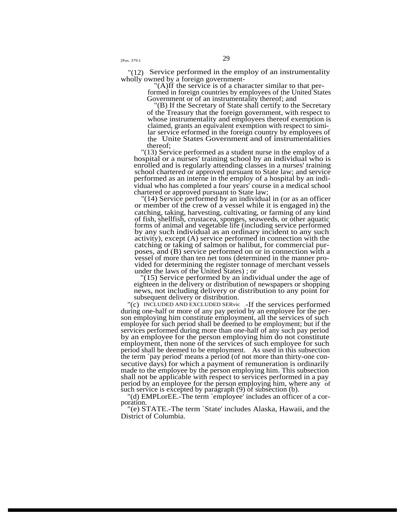"(12) Service performed in the employ of an instrumentality wholly owned by a foreign government-

> "(A)If the service is of a character similar to that performed in foreign countries by employees of the United States Government or of an instrumentality thereof; and

> "(B) If the Secretary of State shall certify to the Secretary of the Treasury that the foreign government, with respect to whose instrumentality and employees thereof exemption is claimed, grants an equivalent exemption with respect to similar service erformed in the foreign country by employees of the Unite States Government and of instrumentalities thereof;

"(13) Service performed as a student nurse in the employ of a hospital or a nurses' training school by an individual who is enrolled and is regularly attending classes in a nurses' training school chartered or approved pursuant to State law; and service performed as an interne in the employ of a hospital by an individual who has completed a four years' course in a medical school chartered or approved pursuant to State law;

"(14) Service performed by an individual in (or as an officer or member of the crew of a vessel while it is engaged in) the catching, taking, harvesting, cultivating, or farming of any kind of fish, shellfish, crustacea, sponges, seaweeds, or other aquatic forms of animal and vegetable life (including service performed by any such individual as an ordinary in[cident to a](http://incident.to)ny such activity), except (A) service performed in connection with the catching or taking of salmon or halibut, for commercial purposes, and (B) service performed on or in connection with a vessel of more than ten net tons (determined in the manner provided for determining the register tonnage of merchant vessels under the laws of the United States) ; or

"(15) Service performed by an individual under the age of eighteen in the delivery or distribution of newspapers or shopping news, not including delivery or distribution to any point for subsequent delivery or distribution.

"(c) INCLUDED AND EXCLUDED SERvic .-If the services performed during one-half or more of any pay period by an employee for the person employing him constitute employment, all the services of such employee for such period shall be deemed to be employment; but if the services performed during more than one-half of any such pay period by an employee for the person employing him do not constitute employment, then none of the services of such employee for such period shall be deemed to be employment. As used in this subsection the term `pay period' means a period (of not more than thirty-one consecutive days) for which a payment of remuneration is ordinarily made to the employee by the person employing him. This subsection shall not be applicable with respect to services performed in a pay period by an employee for the person employing him, where any of such service is excepted by paragraph (9) of subsection (b).

"(d) EMPLorEE.-The term `employee' includes an officer of a corporation.

"(e) STATE.-The term `State' includes Alaska, Hawaii, and the District of Columbia.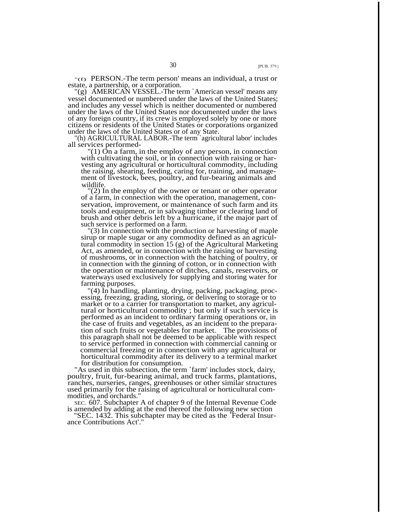"(f) PERSON.-The term person' means an individual, a trust or estate, a partnership, or a corporation.

"(g) AMERICAN VESSEL.-The term `American vessel' means any vessel documented or numbered under the laws of the United States; and includes any vessel which is neither documented or numbered under the laws of the United States nor documented under the laws of any foreign country, if its crew is employed solely by one or more citizens or residents of the United States or corporations organized under the laws of the United States or of any State.

"(h) AGRICULTURAL LABOR.-The term `agricultural labor' includes all services performed-

"(1) On a farm, in the employ of any person, in connection with cultivating the soil, or in connection with raising or harvesting any agricultural or horticultural commodity, including the raising, shearing, feeding, caring for, training, and management of livestock, bees, poultry, and fur-bearing animals and wildlife.

 $(2)$  In the employ of the owner or tenant or other operator of a farm, in connection with the operation, management, conservation, improvement, or maintenance of such farm and its tools and equipment, or in salvaging timber or clearing land of brush and other debris left by a hurricane, if the major part of such service is performed on a farm.

"(3) In connection with the production or harvesting of maple sirup or maple sugar or any commodity defined as an agricultural commodity in section 15 (g) of the Agricultural Marketing Act, as amended, or in connection with the raising or harvesting of mushrooms, or in connection with the hatching of poultry, or in connection with the ginning of cotton, or in connection with the operation or maintenance of ditches, canals, reservoirs, or waterways used exclusively for supplying and storing water for farming purposes.

"(4) In handling, planting, drying, packing, packaging, processing, freezing, grading, storing, or delivering to storage or to market or to a carrier for transportation to market, any agricultural or horticultural commodity ; but only if such service is performed as an incident to ordinary farming operations or, in the case of fruits and vegetables, as an incident to the preparation of such fruits or vegetables for market. The provisions of this paragraph shall not be deemed to be applicable with respect to service performed in connection with commercial canning or commercial freezing or in connection with any agricultural or horticultural commodity after its delivery to a terminal market for distribution for consumption.

"As used in this subsection, the term `farm' includes stock, dairy, poultry, fruit, fur-bearing animal, and truck farms, plantations, ranches, nurseries, ranges, greenhouses or other similar structures used primarily for the raising of agricultural or horticultural commodities, and orchards."

SEC. 607. Subchapter A of chapter 9 of the Internal Revenue Code is amended by adding at the end thereof the following new section

"SEC. 1432. This subchapter may be cited as the Federal Insurance Contributions Act'."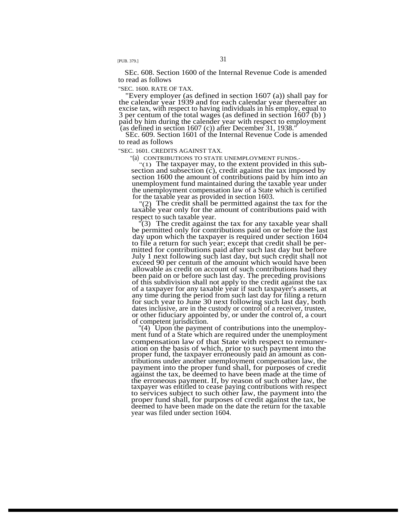SEc. 608. Section 1600 of the Internal Revenue Code is amended to read as follows

"SEC. 1600. RATE OF TAX.

"Every employer (as defined in section 1607 (a)) shall pay for the calendar year 1939 and for each calendar year thereafter an excise tax, with respect to having individuals in his employ, equal to 3 per centum of the total wages (as defined in section 1607 (b) ) paid by him during the calender year with respect to employment (as defined in section 1607 (c)) after December 31, 1938.

SEc. 609. Section 1601 of the Internal Revenue Code is amended to read as follows

"SEC. 1601. CREDITS AGAINST TAX.

"(a) CONTRIBUTIONS TO STATE UNEMPLOYMENT FUNDS.-

"(1) The taxpayer may, to the extent provided in this subsection and subsection (c), credit against the tax imposed by section 1600 the amount of contributions paid by him into an unemployment fund maintained during the taxable year under the unemployment compensation law of a State which is certified for the taxable year as provided in section 1603.

"(2) The credit shall be permitted against the tax for the taxable year only for the amount of contributions paid with respect to such taxable year.

 $(3)$  The credit against the tax for any taxable year shall be permitted only for contributions paid on or before the last day upon which the taxpayer is required under section 1604 to file a return for such year; except that credit shall be permitted for contributions paid after such last day but before July 1 next following such last day, but such credit shall not exceed 90 per centum of the amount which would have been allowable as credit on account of such contributions had they been paid on or before such last day. The preceding provisions of this subdivision shall not apply to the credit against the tax of a taxpayer for any taxable year if such taxpayer's assets, at any time during the period from such last day for filing a return for such year to June 30 next following such last day, both dates inclusive, are in the custody or control of a receiver, trustee, or other fiduciary appointed by, or under the control of, a court of competent jurisdiction.

"(4) Upon the payment of contributions into the unemployment fund of a State which are required under the unemployment compensation law of that State with respect to remuneration on the basis of which, prior to such payment into the proper fund, the taxpayer erroneously paid an amount as contributions under another unemployment compensation law, the payment into the proper fund shall, for purposes of credit against the tax, be deemed to have been made at the time of the erroneous payment. If, by reason of such other law, the taxpayer was entitled to cease paying contributions with respect to services subject to such other law, the payment into the proper fund shall, for purposes of credit against the tax, be deemed to have been made on the date the return for the taxable year was filed under section 1604.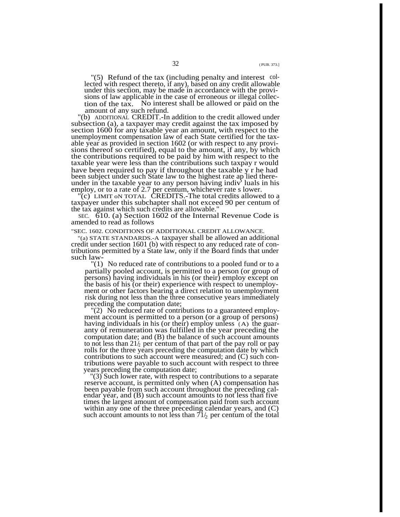"(5) Refund of the tax (including penalty and interest collected with respect thereto, if any), based on any credit allowable under this section, may be made in accordance with the provisions of law applicable in the case of erroneous or illegal collection of the tax. No interest shall be allowed or paid on the amount of any such refund.

"(b) ADDITIONAL CREDIT.-In addition to the credit allowed under subsection (a), a taxpayer may credit against the tax imposed by section 1600 for any taxable year an amount, with respect to the unemployment compensation law of each State certified for the taxable year as provided in section 1602 (or with respect to any provisions thereof so certified), equal to the amount, if any, by which the contributions required to be paid by him with respect to the taxable year were less than the contributions such taxpay r would have been required to pay if throughout the taxable y r he had been subject under such State law to the highest rate ap lied thereunder in the taxable year to any person having indiv' luals in his employ, or to a rate of 2.7 per centum, whichever rate s lower.

 $\overline{C}$  (c) LIMIT on TOTAL CREDITS.-The total credits allowed to a taxpayer under this subchapter shall not exceed 90 per centum of the tax against which such credits are allowable."

SEC.  $\bar{6}10$ . (a) Section 1602 of the Internal Revenue Code is amended to read as follows

"SEC. 1602. CONDITIONS OF ADDITIONAL CREDIT ALLOWANCE.

"(a) STATE STANDARDS.-A taxpayer shall be allowed an additional credit under section 1601 (b) with respect to any reduced rate of contributions permitted by a State law, only if the Board finds that under such law-

"(1) No reduced rate of contributions to a pooled fund or to a partially pooled account, is permitted to a person (or group of persons) having individuals in his (or their) employ except on the basis of his (or their) experience with respect to unemployment or other factors bearing a direct relation to unemployment risk during not less than the three consecutive years immediately preceding the computation date;

"(2) No reduced rate of contributions to a guaranteed employment account is permitted to a person (or a group of persons) having individuals in his (or their) employ unless (A) the guaranty of remuneration was fulfilled in the year preceding the computation date; and (B) the balance of such account amounts to not less than  $21/2$  per centum of that part of the pay roll or pay rolls for the three years preceding the computation date by which contributions to such account were measured; and (C) such contributions were payable to such account with respect to three years preceding the computation date;

"(3) Such lower rate, with respect to contributions to a separate reserve account, is permitted only when (A) compensation has been payable from such account throughout the preceding calendar year, and (B) such account amounts to not less than five times the largest amount of compensation paid from such account within any one of the three preceding calendar years, and (C) such account amounts to not less than  $71/2$  per centum of the total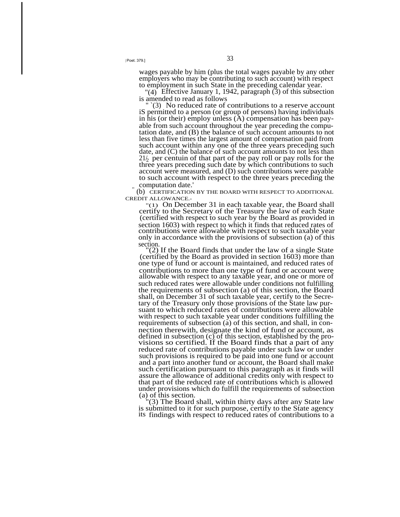wages payable by him (plus the total wages payable by any other employers who may be contributing to such account) with respect to employment in such State in the preceding calendar year.

"(4) Effective January 1, 1942, paragraph (3) of this subsection is amended to read as follows

 $" (3)$  No reduced rate of contributions to a reserve account iS permitted to a person (or group of persons) having individuals in his (or their) employ unless  $(A)$  compensation has been payable from such account throughout the year preceding the computation date, and (B) the balance of such account amounts to not less than five times the largest amount of compensation paid from such account within any one of the three years preceding such date, and (C) the balance of such account amounts to not less than  $21/2$  per centuin of that part of the pay roll or pay rolls for the three years preceding such date by which contributions to such account were measured, and (D) such contributions were payable to such account with respect to the three years preceding the computation date.'

" (b) CERTIFICATION BY THE BOARD WITH RESPECT TO ADDITIONAL CREDIT ALLOWANCE.-

"(1) On December 31 in each taxable year, the Board shall certify to the Secretary of the Treasury the law of each State (certified with respect to such year by the Board as provided in section 1603) with respect to which it finds that reduced rates of contributions were allowable with respect to such taxable year only in accordance with the provisions of subsection (a) of this section.

 $(2)$  If the Board finds that under the law of a single State (certified by the Board as provided in section 1603) more than one type of fund or account is maintained, and reduced rates of contributions to more than one type of fund or account were allowable with respect to any taxable year, and one or more of such reduced rates were allowable under conditions not fulfilling the requirements of subsection (a) of this section, the Board shall, on December 31 of such taxable year, certify to the Secretary of the Treasury only those provisions of the State law pursuant to which reduced rates of contributions were allowable with respect to such taxable year under conditions fulfilling the requirements of subsection (a) of this section, and shall, in connection therewith, designate the kind of fund or account, as defined in subsection (c) of this section, established by the pro-visions so certified. If the Board finds that a part of any reduced rate of contributions payable under such law or under such provisions is required to be paid into one fund or account and a part into another fund or account, the Board shall make such certification pursuant to this paragraph as it finds will assure the allowance of additional credits only with respect to that part of the reduced rate of contributions which is allowed under provisions which do fulfill the requirements of subsection (a) of this section.

"(3) The Board shall, within thirty days after any State law is submitted to it for such purpose, certify to the State agency its findings with respect to reduced rates of contributions to a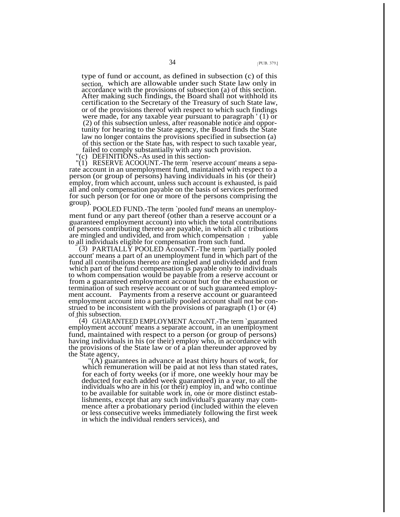type of fund or account, as defined in subsection (c) of this section, which are allowable under such State law only in accordance with the provisions of subsection (a) of this section. After making such findings, the Board shall not withhold its certification to the Secretary of the Treasury of such State law, or of the provisions thereof with respect to which such findings were made, for any taxable year pursuant to paragraph '(1) or (2) of this subsection unless, after reasonable notice and opportunity for hearing to the State agency, the Board finds the State law no longer contains the provisions specified in subsection (a) of this section or the State has, with respect to such taxable year, failed to comply substantially with any such provision.

"(c) DEFINITIONS.-As used in this section-

"(1) RESERVE ACOOUNT.-The term `reserve account' means a separate account in an unemployment fund, maintained with respect to a person (or group of persons) having individuals in his (or their) employ, from which account, unless such account is exhausted, is paid all and only compensation payable on the basis of services performed for such person (or for one or more of the persons comprising the group).

POOLED FUND.-The term `pooled fund' means an unemployment fund or any part thereof (other than a reserve account or a guaranteed employment account) into which the total contributions of persons contributing thereto are payable, in which all c tributions are mingled and undivided, and from which compensation <sup>I</sup> yable to all individuals eligible for compensation from such fund.<br>(3) PARTIALLY POOLED ACOUNT. The term particle

(3) PARTIALLY POOLED AcoouNT.-The term `partially pooled account' means a part of an unemployment fund in which part of the fund all contributions thereto are mingled and undividedd and from which part of the fund compensation is payable only to individuals to whom compensation would be payable from a reserve account or from a guaranteed employment account but for the exhaustion or termination of such reserve account or of such guaranteed employment account. Payments from a reserve account or guaranteed employment account into a partially pooled account shall not be construed to be inconsistent with the provisions of paragraph (1) or (4) of this subsection.<br> $(A)$  CUAPAN

(4) GUARANTEED EMPLOYMENT AccouNT.-The term `guaranteed employment account' means a separate account, in an unemployment fund, maintained with respect to a person (or group of persons) having individuals in his (or their) employ who, in accordance with the provisions of the State law or of a plan thereunder approved by the State agency,

"(A) guarantees in advance at least thirty hours of work, for which remuneration will be paid at not less than stated rates, for each of forty weeks (or if more, one weekly hour may be deducted for each added week guaranteed) in a year, to all the individuals who are in his (or their) employ in, and who continue to be available for suitable work in, one or more distinct establishments, except that any such individual's guaranty may commence after a probationary period (included within the eleven or less consecutive weeks immediately following the first week in which the individual renders services), and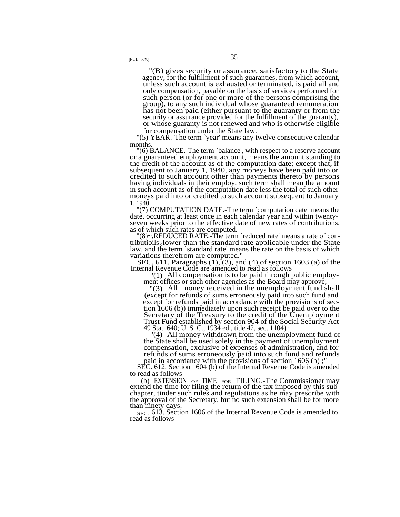"(B) gives security or assurance, satisfactory to the State agency, for the fulfillment of such guaranties, from which account, unless such account is exhausted or terminated, is paid all and only compensation, payable on the basis of services performed for such person (or for one or more of the persons comprising the group), to any such individual whose guaranteed remuneration has not been paid (either pursuant to the guaranty or from the security or assurance provided for the fulfillment of the guaranty), or whose guaranty is not renewed and who is otherwise eligible for compensation under the State law.

"(5) YEAR.-The term `year' means any twelve consecutive calendar months.

"(6) BALANCE.-The term `balance', with respect to a reserve account or a guaranteed employment account, means the amount standing to the credit of the account as of the computation date; except that, if subsequent to January 1, 1940, any moneys have been paid into or credited to such account other than payments thereto by persons having individuals in their employ, such term shall mean the amount in such account as of the computation date less the total of such other moneys paid into or credited to such account subsequent to January 1, 1940.

"(7) COMPUTATION DATE.-The term `computation date' means the date, occurring at least once in each calendar year and within twentyseven weeks prior to the effective date of new rates of contributions, as of which such rates are computed.

"(8)~,REDUCED RATE.-The term `reduced rate' means a rate of contributioils $_{\rm E}$ lower than the standard rate applicable under the State law, and the term `standard rate' means the rate on the basis of which variations therefrom are computed."

SEC. 611. Paragraphs  $(1)$ ,  $(3)$ , and  $(4)$  of section 1603  $(a)$  of the Internal Revenue Code are amended to read as follows

"(1) All compensation is to be paid through public employment offices or such other agencies as the Board may approve;

"(3) All money received in the unemployment fund shall (except for refunds of sums erroneously paid into such fund and except for refunds paid in accordance with the provisions of section 1606 (b)) immediately upon such receipt be paid over to the Secretary of the Treasury to the credit of the Unemployment Trust Fund established by section 904 of the Social Security Act 49 Stat. 640; U. S. C., 1934 ed., title 42, sec. 1104) ;

"(4) All money withdrawn from the unemployment fund of the State shall be used solely in the payment of unemployment compensation, exclusive of expenses of administration, and for refunds of sums erroneously paid into such fund and refunds paid in accordance with the provisions of section 1606 (b) ;"

SEC. 612. Section 1604 (b) of the Internal Revenue Code is amended to read as follows<br>(b) EXTENSIO

(b) EXTENSION OF TIME FOR FILING.-The Commissioner may extend the time for filing the return of the tax imposed by this subchapter, tinder such rules and regulations as he may prescribe with the approval of the Secretary, but no such extension shall be for more than ninety days.

SEC. 613. Section 1606 of the Internal Revenue Code is amended to read as follows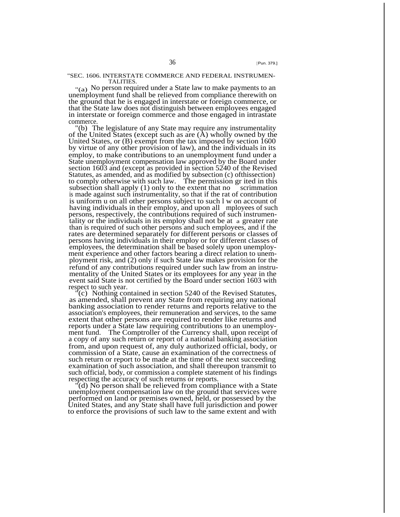#### "SEC. 1606. INTERSTATE COMMERCE AND FEDERAL INSTRUMEN-TALITIES.

 $v(a)$  No person required under a State law to make payments to an unemployment fund shall be relieved from compliance therewith on the ground that he is engaged in interstate or foreign commerce, or that the State law does not distinguish between employees engaged in interstate or foreign commerce and those engaged in intrastate commerce.

"(b) The legislature of any State may require any instrumentality of the United States (except such as are (A) wholly owned by the United States, or (B) exempt from the tax imposed by section 1600 by virtue of any other provision of law), and the individuals in its employ, to make contributions to an unemployment fund under a State unemployment compensation law approved by the Board under section 1603 and (except as provided in section 5240 of the Revised Statutes, as amended, and as modified by subsection (c) ofthissection) to comply otherwise with such law. The permission gr ited in this subsection shall apply (1) only to the extent that no scrimmation subsection shall apply  $(1)$  only to the extent that no is made against such instrumentality, so that if the rat of contribution is uniform u on all other persons subject to such l w on account of having individuals in their employ, and upon all mployees of such persons, respectively, the contributions required of such instrumentality or the individuals in its employ shall not be at a greater rate than is required of such other persons and such employees, and if the rates are determined separately for different persons or classes of persons having individuals in their employ or for different classes of employees, the determination shall be based solely upon unemployment experience and other factors bearing a direct relation to unemployment risk, and (2) only if such State law makes provision for the refund of any contributions required under such law from an instrumentality of the United States or its employees for any year in the event said State is not certified by the Board under section 1603 with respect to such year.

(c) Nothing contained in section 5240 of the Revised Statutes, as amended, shall prevent any State from requiring any national banking association to render returns and reports relative to the association's employees, their remuneration and services, to the same extent that other persons are required to render like returns and reports under a State law requiring contributions to an unemployment fund. The Comptroller of the Currency shall, upon receipt of a copy of any such return or report of a national banking association from, and upon request of, any duly authorized official, body, or commission of a State, cause an examination of the correctness of such return or report to be made at the time of the next succeeding examination of such association, and shall thereupon transmit to such official, body, or commission a complete statement of his findings respecting the accuracy of such returns or reports.

"(d) No person shall be relieved from compliance with a State unemployment compensation law on the ground that services were performed on land or premises owned, held, or possessed by the United States, and any State shall have full jurisdiction and power to enforce the provisions of such law to the same extent and with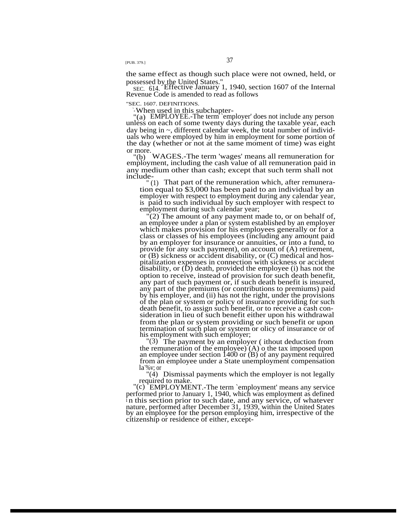the same effect as though such place were not owned, held, or possessed by the United States."

SEC. 614. Effective January 1, 1940, section 1607 of the Internal Revenue Code is amended to read as follows

"SEC. 1607. DEFINITIONS.

`-When used in this subchapter-

"(a) EMPLOYEE.-The term `employer' does not include any person unless on each of some twenty days during the taxable year, each day being in ~, different calendar week, the total number of individuals who were employed by him in employment for some portion of the day (whether or not at the same moment of time) was eight

or more. "(b) WAGES.-The term 'wages' means all remuneration for employment, including the cash value of all remuneration paid in any medium other than cash; except that such term shall not  $include^{\text{include}}$ <br> $(1)$ 

That part of the remuneration which, after remuneration equal to \$3,000 has been paid to an individual by an employer with respect to employment during any calendar year, is paid to such individual by such employer with respect to employment during such calendar year;

"(2) The amount of any payment made to, or on behalf of, an employee under a plan or system established by an employer which makes provision for his employees generally or for a class or classes of his employees (including any amount paid by an employer for insurance or annuities, or into a fund, to provide for any such payment), on account of (A) retirement, or (B) sickness or accident disability, or (C) medical and hospitalization expenses in connection with sickness or accident disability, or (D) death, provided the employee (i) has not the option to receive, instead of provision for such death benefit, any part of such payment or, if such death benefit is insured, any part of the premiums (or contributions to premiums) paid by his employer, and (ii) has not the right, under the provisions of the plan or system or policy of insurance providing for such death benefit, to assign such benefit, or to receive a cash consideration in lieu of such benefit either upon his withdrawal from the plan or system providing or such benefit or upon termination of such plan or system or olicy of insurance or of his employment with such employer;

"(3) The payment by an employer ( ithout deduction from the remuneration of the employee)  $(A)$  o the tax imposed upon an employee under section 1400 or (B) of any payment required from an employee under a State unemployment compensation la-%v; or

"(4) Dismissal payments which the employer is not legally required to make.

"(c) EMPLOYMENT.-The term `employment' means any service performed prior to January 1, 1940, which was employment as defined <sup>i</sup> n this section prior to such date, and any service, of whatever nature, performed after December 31, 1939, within the United States by an employee for the person employing him, irrespective of the citizenship or residence of either, except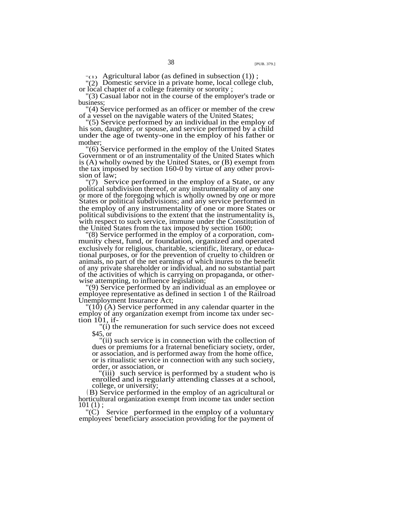$\lceil \cdot (1) \rceil$  Agricultural labor (as defined in subsection (1));

"(2) Domestic service in a private home, local college club, or local chapter of a college fraternity or sorority ;

"(3) Casual labor not in the course of the employer's trade or business;

"(4) Service performed as an officer or member of the crew of a vessel on the navigable waters of the United States;

"(5) Service performed by an individual in the employ of his son, daughter, or spouse, and service performed by a child under the age of twenty-one in the employ of his father or mother;

"(6) Service performed in the employ of the United States Government or of an instrumentality of the United States which is (A) wholly owned by the United States, or (B) exempt from the tax imposed by section 160-0 by virtue of any other provision of law;

"(7) Service performed in the employ of a State, or any political subdivision thereof, or any instrumentality of any one or more of the foregoing which is wholly owned by one or more States or political subdivisions; and any service performed in the employ of any instrumentality of one or more States or political subdivisions to the extent that the instrumentality is, with respect to such service, immune under the Constitution of the United States from the tax imposed by section 1600;

"(8) Service performed in the employ of a corporation, community chest, fund, or foundation, organized and operated exclusively for religious, charitable, scientific, literary, or educational purposes, or for the prevention of cruelty to children or animals, no part of the net earnings of which inures to the benefit of any private shareholder or individual, and no substantial part of the activities of which is carrying on propaganda, or otherwise attempting, to influence legislation;

"(9) Service performed by an individual as an employee or employee representative as defined in section 1 of the Railroad Unemployment Insurance Act;

"(10) (A) Service performed in any calendar quarter in the employ of any organization exempt from income tax under section 101, if-

"(i) the remuneration for such service does not exceed \$45, or

"(ii) such service is in connection with the collection of dues or premiums for a fraternal beneficiary society, order, or association, and is performed away from the home office, or is ritualistic service in connection with any such society, order, or association, or

"(iii) such service is performed by a student who is enrolled and is regularly attending classes at a school, college, or university;

( B) Service performed in the employ of an agricultural or horticultural organization exempt from income tax under section 101 (1) ;

"(C) Service performed in the employ of a voluntary employees' beneficiary association providing for the payment of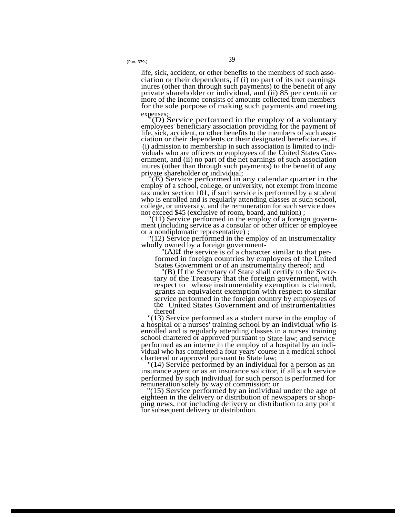life, sick, accident, or other benefits to the members of such association or their dependents, if (i) no part of its net earnings inures (other than through such payments) to the benefit of any private shareholder or individual, and (ii) 85 per centuiii or more of the income consists of amounts collected from members for the sole purpose of making such payments and meeting expenses;

(D) Service performed in the employ of a voluntary employees' beneficiary association providing for the payment of life, sick, accident, or other benefits to the members of such association or their dependents or their designated beneficiaries, if (i) admission to membership in such association is limited to individuals who are officers or employees of the United States Government, and (ii) no part of the net earnings of such association inures (other than through such payments) to the benefit of any private shareholder or individual;

"(E) Service performed in any calendar quarter in the employ of a school, college, or university, not exempt from income tax under section 101, if such service is performed by a student who is enrolled and is regularly attending classes at such school, college, or university, and the remuneration for such service does not exceed \$45 (exclusive of room, board, and tuition) ;

"(11) Service performed in the employ of a foreign government (including service as a consular or other officer or employee or a nondiplomatic representative) ;

"(12) Service performed in the employ of an instrumentality wholly owned by a foreign government-

"(A)If the service is of a character similar to that performed in foreign countries by employees of the United States Government or of an instrumentality thereof; and

"(B) If the Secretary of State shall certify to the Secretary of the Treasury that the foreign government, with respect to whose instrumentality exemption is claimed, grants an equivalent exemption with respect to similar service performed in the foreign country by employees of the United States Government and of instrumentalities thereof

"(13) Service performed as a student nurse in the employ of a hospital or a nurses' training school by an individual who is enrolled and is regularly attending classes in a nurses' training school chartered or approved pursuant to State law; and service performed as an interne in the employ of a hospital by an individual who has completed a four years' course in a medical school chartered or approved pursuant to State law;

"(14) Service performed by an individual for a person as an insurance agent or as an insurance solicitor, if all such service performed by such individual for such person is performed for remuneration solely by way of commission; or

"(15) Service performed by an individual under the age of eighteen in the delivery or distribution of newspapers or shopping news, not including delivery or distribution to any point for subsequent delivery or distribution.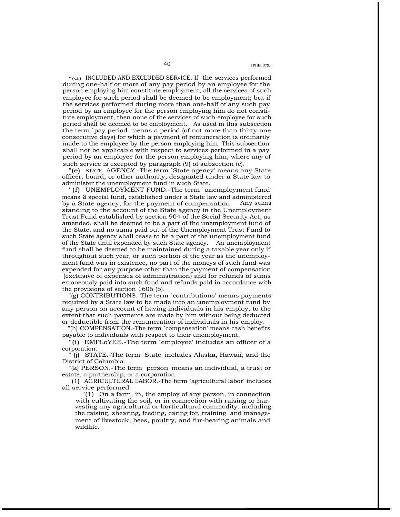"(d) INCLUDED AND EXCLUDED SERvICE.-If the services performed during one-half or more of any pay period by an employee for the person employing him constitute employment, all the services of such employee for such period shall be deemed to be employment; but if the services performed during more than one-half of any such pay period by an employee for the person employing him do not constitute employment, then none of the services of such employee for such period shall be deemed to be employment. As used in this subsection the term `pay period' means a period (of not more than thirty-one consecutive days) for which a payment of remuneration is ordinarily made to the employee by the person employing him. This subsection shall not be applicable with respect to services performed in a pay period by an employee for the person employing him, where any of such service is excepted by paragraph (9) of subsection (c).

"(e) STATE AGENCY.-The term `State agency' means any State officer, board, or other authority, designated under a State law to administer the unemployment fund in such State.

"(f) UNEMPLOYMENT FUND.-The term `unemployment fund' means a special fund, established under a State law and administered by a State agency, for the payment of compensation. Any sums standing to the account of the State agency in the Unemployment Trust Fund established by section 904 of the Social Security Act, as amended, shall be deemed to be a part of the unemployment fund of the State, and no sums paid out of the Unemployment Trust Fund to such State agency shall cease to be a part of the unemployment fund of the State until expended by such State agency. An unemployment fund shall be deemed to be maintained during a taxable year only if throughout such year, or such portion of the year as the unemployment fund was in existence, no part of the moneys of such fund was expended for any purpose other than the payment of compensation (exclusive of expenses of administration) and for refunds of sums erroneously paid into such fund and refunds paid in accordance with the provisions of section 1606 (b).

"(g) CONTRIBUTIONS.-The term `contributions' means payments required by a State law to be made into an unemployment fund by any person on account of having individuals in his employ, to the extent that such payments are made by him without being deducted or deductible from the remuneration of individuals in his employ.

"(h) COMPENSATION.-The term `compensation' means cash benefits payable to individuals with respect to their unemployment.

"(i) EMPLoYEE.-The term `employee' includes an officer of a corporation.

" (j) STATE.-The term `State' includes Alaska, Hawaii, and the District of Columbia.

"(k) PERSON.-The term `person' means an individual, a trust or estate, a partnership, or a corporation.

"(1) AGRICULTURAL LABOR.-The term `agricultural labor' includes all service performed-

"(1) On a farm, in, the employ of any person, in connection with cultivating the soil, or in connection with raising or harvesting any agricultural or horticultural commodity, including the raising, shearing, feeding, caring for, training, and management of livestock, bees, poultry, and fur-bearing animals and wildlife.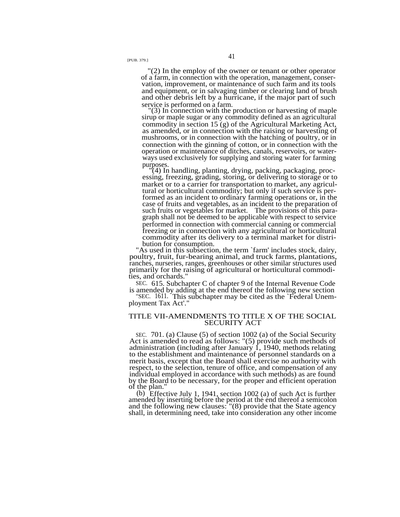"(2) In the employ of the owner or tenant or other operator of a farm, in connection with the operation, management, conservation, improvement, or maintenance of such farm and its tools and equipment, or in salvaging timber or clearing land of brush and other debris left by a hurricane, if the major part of such service is performed on a farm.

"(3) In connection with the production or harvesting of maple sirup or maple sugar or any commodity defined as an agricultural commodity in section 15 (g) of the Agricultural Marketing Act, as amended, or in connection with the raising or harvesting of mushrooms, or in connection with the hatching of poultry, or in connection with the ginning of cotton, or in connection with the operation or maintenance of ditches, canals, reservoirs, or waterways used exclusively for supplying and storing water for farming purposes.

 $(4)$  In handling, planting, drying, packing, packaging, processing, freezing, grading, storing, or delivering to storage or to market or to a carrier for transportation to market, any agricultural or horticultural commodity; but only if such service is performed as an incident to ordinary farming operations or, in the case of fruits and vegetables, as an incident to the preparation of such fruits or vegetables for market. The provisions of this paragraph shall not be deemed to be applicable with respect to service performed in connection with commercial canning or commercial freezing or in connection with any agricultural or horticultural commodity after its delivery to a terminal market for distribution for consumption.

"As used in this subsection, the term `farm' includes stock, dairy, poultry, fruit, fur-bearing animal, and truck farms, plantations, ranches, nurseries, ranges, greenhouses or other similar structures used primarily for the raising of agricultural or horticultural commodities, and orchards."

SEC. 615. Subchapter C of chapter 9 of the Internal Revenue Code is amended by adding at the end thereof the following new section

"SEC. 1611. This subchapter may be cited as the `Federal Unemployment Tax Act'."

### TITLE VII-AMENDMENTS TO TITLE X OF THE SOCIAL SECURITY ACT

SEC. 701. (a) Clause (5) of section 1002 (a) of the Social Security Act is amended to read as follows: "(5) provide such methods of administration (including after January 1, 1940, methods relating to the establishment and maintenance of personnel standards on a merit basis, except that the Board shall exercise no authority with respect, to the selection, tenure of office, and compensation of any individual employed in accordance with such methods) as are found by the Board to be necessary, for the proper and efficient operation of the plan."

(b) Effective July 1, 1941, section 1002 (a) of such Act is further amended by inserting before the period at the end thereof a semicolon and the following new clauses: "(8) provide that the State agency shall, in determining need, take into consideration any other income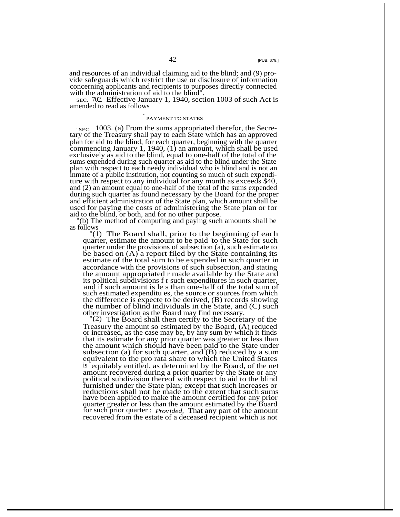and resources of an individual claiming aid to the blind; and (9) provide safeguards which restrict the use or disclosure of information concerning applicants and recipients to purposes directly connected with the administration of aid to the blind".

SEC. 702. Effective January 1, 1940, section 1003 of such Act is amended to read as follows

# " PAYMENT TO STATES

 $_{\rm{VSEC.}}$  1003. (a) From the sums appropriated therefor, the Secretary of the Treasury shall pay to each State which has an approved plan for aid to the blind, for each quarter, beginning with the quarter commencing January 1, 1940, (1) an amount, which shall be used exclusively as aid to the blind, equal to one-half of the total of the sums expended during such quarter as aid to the blind under the State plan with respect to each needy individual who is blind and is not an inmate of a public institution, not counting so much of such expenditure with respect to any individual for any month as exceeds \$40, and (2) an amount equal to one-half of the total of the sums expended during such quarter as found necessary by the Board for the proper and efficient administration of the State plan, which amount shall be used for paying the costs of administering the State plan or for aid to the blind, or both, and for no other purpose.

"(b) The method of computing and paying such amounts shall be as follows

"(1) The Board shall, prior to the beginning of each quarter, estimate the amount to be paid to the State for such quarter under the provisions of subsection (a), such estimate to be based on (A) a report filed by the State containing its estimate of the total sum to be expended in such quarter in accordance with the provisions of such subsection, and stating the amount appropriated r made available by the State and its political subdivisions f r such expenditures in such quarter, and if such amount is le s than one-half of the total sum of such estimated expenditu es, the source or sources from which the difference is expecte to be derived, (B) records showing the number of blind individuals in the State, and (C) such other investigation as the Board may find necessary.

"(2) The Board shall then certify to the Secretary of the Treasury the amount so estimated by the Board, (A) reduced or increased, as the case may be, by any sum by which it finds that its estimate for any prior quarter was greater or less than the amount which should have been paid to the State under subsection (a) for such quarter, and (B) reduced by a sum equivalent to the pro rata share to which the United States is equitably entitled, as determined by the Board, of the net amount recovered during a prior quarter by the State or any political subdivision thereof with respect to aid to the blind furnished under the State plan; except that such increases or reductions shall not be made to the extent that such sums have been applied to make the amount certified for any prior quarter greater or less than the amount estimated by the Board for such prior quarter : *Provided,* That any part of the amount recovered from the estate of a deceased recipient which is not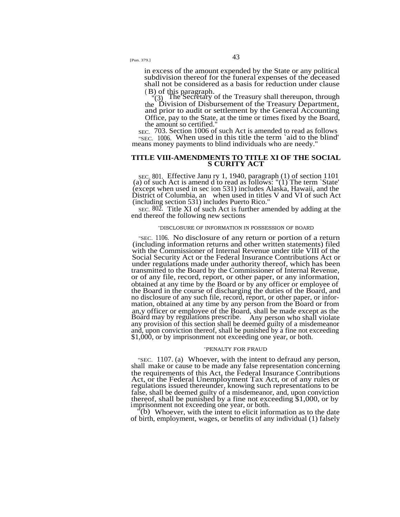in excess of the amount expended by the State or any political subdivision thereof for the funeral expenses of the deceased shall not be considered as a basis for reduction under clause ( B) of this paragraph.

 $\frac{1}{2}$  The Secretary of the Treasury shall thereupon, through the Division of Disbursement of the Treasury Department, and prior to audit or settlement by the General Accounting Office, pay to the State, at the time or times fixed by the Board, the amount so certified."

SEC. 703. Section 1006 of such Act is amended to read as follows "SEC. 1006. When used in this title the term `aid to the blind' means money payments to blind individuals who are needy."

### **TITLE VIII-AMENDMENTS TO TITLE XI OF THE SOCIAL S CURITY ACT**

SEC. 801. Effective Janu ry 1, 1940, paragraph (1) of section 1101 (a) of such Act is amend d to read as follows:  $"(1)$  The term `State' (except when used in sec ion 531) includes Alaska, Hawaii, and the District of Columbia, an when used in titles V and VI of such Act (including section 531) includes Puerto Rico."

SEC. 802. Title XI of such Act is further amended by adding at the end thereof the following new sections

### "DISCLOSURE OF INFORMATION IN POSSESSION OF BOARD

"SEC. 1106. No disclosure of any return or portion of a return (including information returns and other written statements) filed with the Commissioner of Internal Revenue under title VIII of the Social Security Act or the Federal Insurance Contributions Act or under regulations made under authority thereof, which has been transmitted to the Board by the Commissioner of Internal Revenue, or of any file, record, report, or other paper, or any information, obtained at any time by the Board or by any officer or employee of the Board in the course of discharging the duties of the Board, and no disclosure of any such file, record, report, or other paper, or information, obtained at any time by any person from the Board or from an,y officer or employee of the Board, shall be made except as the Board may by regulations prescribe. Any person who shall violate any provision of this section shall be deemed guilty of a misdemeanor and, upon conviction thereof, shall be punished by a fine not exceeding \$1,000, or by imprisonment not exceeding one year, or both.

#### "PENALTY FOR FRAUD

"SEC. 1107. (a) Whoever, with the intent to defraud any person, shall make or cause to be made any false representation concerning the requirements of this Act, the Federal Insurance Contributions Act, or the Federal Unemployment Tax Act, or of any rules or regulations issued thereunder, knowing such representations to be false, shall be deemed guilty of a misdemeanor, and, upon conviction thereof, shall be punished by a fine not exceeding \$1,000, or by imprisonment not exceeding one year, or both.

(b) Whoever, with the intent to elicit information as to the date of birth, employment, wages, or benefits of any individual (1) falsely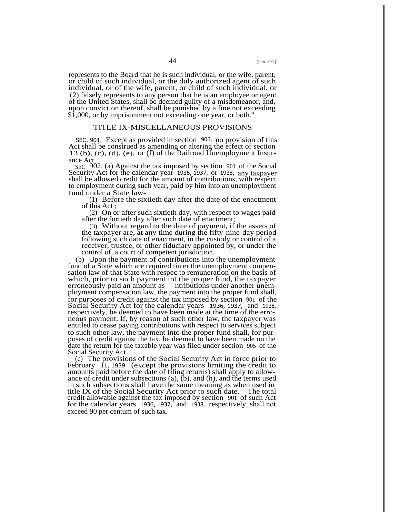represents to the Board that he is such individual, or the wife, parent, or child of such individual, or the duly authorized agent of such individual, or of the wife, parent, or child of such individual, or (2) falsely represents to any person that he is an employee or agent of the United States, shall be deemed guilty of a misdemeanor, and, upon conviction thereof, shall be punished by a fine not exceeding \$1,000, or by imprisonment not exceeding one year, or both."

### TITLE IX-MISCELLANEOUS PROVISIONS

SEC. 901. Except as provided in section 906, no provision of this Act shall be construed as amending or altering the effect of section 13 (b), (c), (d), (e), or (f) of the Railroad Unemployment Insurance Act.

SEC. 902. (a) Against the tax imposed by section 901 of the Social Security Act for the calendar year 1936, 1937, or 1938, any taxpayer shall be allowed credit for the amount of contributions, with respect to employment during such year, paid by him into an unemployment fund under a State law-

(1) Before the sixtieth day after the date of the enactment of this Act ;

(2) On or after such sixtieth day, with respect to wages paid after the fortieth day after such date of enactment;

(3) Without regard to the date of payment, if the assets of the taxpayer are, at any time during the fifty-nine-day period following such date of enactment, in the custody or control of a receiver, trustee, or other fiduciary appointed by, or under the control of, a court of competent jurisdiction.

(b) Upon the payment of contributions into the unemployment fund of a State which are required tin er the unemployment compensation law of that State with respec to remuneration on the basis of which, prior to such payment int the proper fund, the taxpayer erroneously paid an amount as ntributions under another unemployment compensation law, the payment into the proper fund shall, for purposes of credit against the tax imposed by section 901 of the Social Security Act for the calendar years 1936, 1937, and 1938, respectively, be deemed to have been made at the time of the erroneous payment. If, by reason of such other law, the taxpayer was entitled to cease paying contributions with respect to services subject to such other law, the payment into the proper fund shall, for purposes of credit against the tax, be deemed to have been made on the date the return for the taxable year was filed under section 905 of the Social Security Act.

(c) The provisions of the Social Security Act in force prior to February 11, 1939 (except the provisions limiting the credit to amounts paid before the date of filing returns) shall apply to allowance of credit under subsections (a), (b), and (h), and the terms used in such subsections shall have the same meaning as when used in title IX of the Social Security Act prior to such date. The total credit allowable against the tax imposed by section 901 of such Act for the calendar years 1936, 1937, and 1938, respectively, shall not exceed 90 per centum of such tax.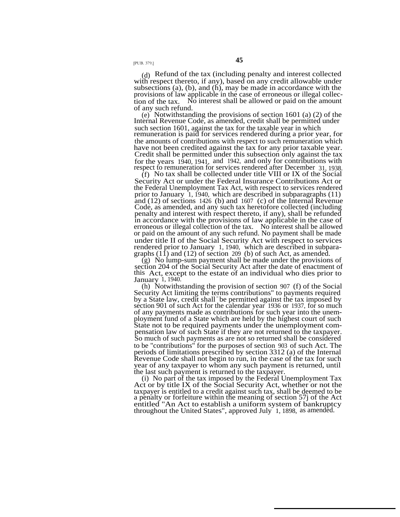(d) Refund of the tax (including penalty and interest collected with respect thereto, if any), based on any credit allowable under subsections  $(a)$ ,  $(b)$ , and  $(h)$ , may be made in accordance with the provisions of law applicable in the case of erroneous or illegal collection of the tax. No interest shall be allowed or paid on the amount of any such refund.

(e) Notwithstanding the provisions of section 1601 (a) (2) of the Internal Revenue Code, as amended, credit shall be permitted under such section 1601, against the tax for the taxable year in which remuneration is paid for services rendered during a prior year, for the amounts of contributions with respect to such remuneration which have not been credited against the tax for any prior taxable year. Credit shall be permitted under this subsection only against the tax for the years 1940, 1941, and 1942, and only for contributions with respect to remuneration for services rendered after December 31, 1938.

 $(f)$  No tax shall be collected under title VIII or IX of the Social Security Act or under the Federal Insurance Contributions Act or the Federal Unemployment Tax Act, with respect to services rendered prior to January 1, 1940, which are described in subparagraphs (11) and (12) of sections 1426 (b) and 1607 (c) of the Internal Revenue Code, as amended, and any such tax heretofore collected (including penalty and interest with respect thereto, if any), shall be refunded in accordance with the provisions of law applicable in the case of erroneous or illegal collection of the tax. No interest shall be allowed or paid on the amount of any such refund. No payment shall be made under title II of the Social Security Act with respect to services rendered prior to January 1, 1940, which are described in subparagraphs  $(11)$  and  $(12)$  of section 209 (b) of such Act, as amended.

(g) No lump-sum payment shall be made under the provisions of section 204 of the Social Security Act after the date of enactment of this Act, except to the estate of an individual who dies prior to January 1, 1940.

(h) Notwithstanding the provision of section 907 (f) of the Social Security Act limiting the terms contributions" to payments required by a State law, credit shall-be permitted against the tax imposed by section 901 of such Act for the calendar year 1936 or 1937, for so much of any payments made as contributions for such year into the unemployment fund of a State which are held by the highest court of such State not to be required payments under the unemployment compensation law of such State if they are not returned to the taxpayer. So much of such payments as are not so returned shall be considered to be "contributions" for the purposes of section 903 of such Act. The periods of limitations prescribed by section 3312 (a) of the Internal Revenue Code shall not begin to run, in the case of the tax for such year of any taxpayer to whom any such payment is returned, until the last such payment is returned to the taxpayer.

(i) No part of the tax imposed by the Federal Unemployment Tax Act or by title IX of the Social Security Act, whether or not the taxpayer is entitled to a credit against such tax, shall be deemed to be a penalty or forfeiture within the meaning of section 57j of the Act entitled "An Act to establish a uniform system of bankruptcy throughout the United States", approved July 1, 1898, as amended.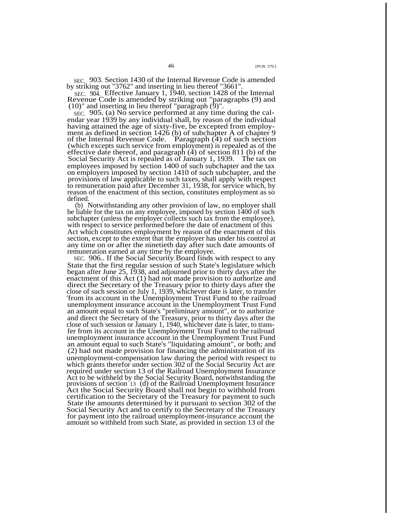SEC. 903. Section 1430 of the Internal Revenue Code is amended by striking out "3762" and inserting in lieu thereof "3661".

SEC. 904. Effective January 1, 1940, section 1428 of the Internal Revenue Code is amended by striking out "paragraphs (9) and  $(10)$ " and inserting in lieu thereof "paragraph  $(9)$ ".

SEC. 905. (a) No service performed at any time during the calendar year 1939 by any individual shall, by reason of the individual having attained the age of sixty-five, be excepted from employment as defined in section 1426 (b) of subchapter A of chapter 9 of the Internal Revenue Code. Paragraph (4) of such section of the Internal Revenue Code. (which excepts such service from employment) is repealed as of the effective date thereof, and paragraph  $(4)$  of section 811 (b) of the Social Security Act is repealed as of January 1, 1939. The tax on Social Security Act is repealed as of January 1, 1939. employees imposed by section 1400 of such subchapter and the tax on employers imposed by section 1410 of such subchapter, and the provisions of law applicable to such taxes, shall apply with respect to remuneration paid after December 31, 1938, for service which, by reason of the enactment of this section, constitutes employment as so defined.

(b) Notwithstanding any other provision of law, no employer shall be liable for the tax on any employee, imposed by section 1400 of such subchapter (unless the employer collects such tax from the employee), with respect to service performed before the date of enactment of this Act which constitutes employment by reason of the enactment of this section, except to the extent that the employer has under his control at any time on or after the ninetieth day after such date amounts of remuneration earned at any time by the employee.

SEC. 906.. If the Social Security Board finds with respect to any State that the first regular session of such State's legislature which began after June 25, 1938, and adjourned prior to thirty days after the enactment of this Act (1) had not made provision to authorize and direct the Secretary of the Treasury prior to thirty days after the close of such session or July 1, 1939, whichever date is later, to transfer 'from its account in the Unemployment Trust Fund to the railroad unemployment insurance account in the Unemployment Trust Fund an amount equal to such State's "preliminary amount", or to authorize and direct the Secretary of the Treasury, prior to thirty days after the close of such session or January 1, 1940, whichever date is later, to transfer from its account in the Unemployment Trust Fund to the railroad unemployment insurance account in the Unemployment Trust Fund an amount equal to such State's "liquidating amount", or both; and (2) had not made provision for financing the administration of its unemployment-compensation law during the period with respect to which grants therefor under section 302 of the Social Security Act are required under section 13 of the Railroad Unemployment Insurance Act to be withheld by the Social Security Board, notwithstanding the provisions of section 13 (d) of the Railroad Unemployment Insurance Act the Social Security Board shall not begin to withhold from certification to the Secretary of the Treasury for payment to such State the amounts determined by it pursuant to section 302 of the Social Security Act and to certify to the Secretary of the Treasury for payment into the railroad unemployment-insurance account the amount so withheld from such State, as provided in section 13 of the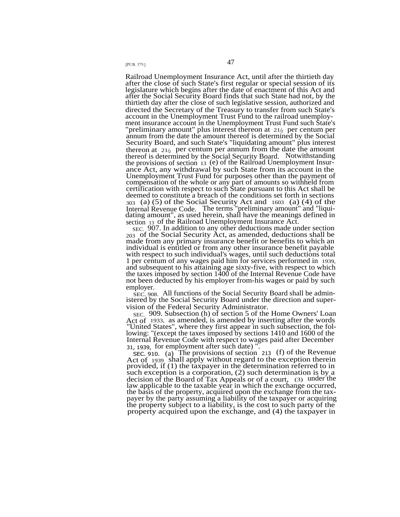Railroad Unemployment Insurance Act, until after the thirtieth day after the close of such State's first regular or special session of its legislature which begins after the date of enactment of this Act and after the Social Security Board finds that such State had not, by the thirtieth day after the close of such legislative session, authorized and directed the Secretary of the Treasury to transfer from such State's account in the Unemployment Trust Fund to the railroad unemploy-

ment insurance account in the Unemployment Trust Fund such State's "preliminary amount" plus interest thereon at  $21/2$  per centum per annum from the date the amount thereof is determined by the Social Security Board, and such State's "liquidating amount" plus interest thereon at  $21/2$  per centum per annum from the date the amount thereof is determined by the Social Security Board. Notwithstanding the provisions of section 13 (e) of the Railroad Unemployment Insurance Act, any withdrawal by such State from its account in the Unemployment Trust Fund for purposes other than the payment of compensation of the whole or any part of amounts so withheld from certification with respect to such State pursuant to this Act shall be deemed to constitute a breach of the conditions set forth in sections <sup>303</sup> (a) (5) of the Social Security Act and <sup>1603</sup> (a) (4) of the Internal Revenue Code. The terms "preliminary amount" and "liquidating amount", as used herein, shall have the meanings defined in section 13 of the Railroad Unemployment Insurance Act.

SEC. 907. In addition to any other deductions made under section 203 of the Social Security Act, as amended, deductions shall be made from any primary insurance benefit or benefits to which an individual is entitled or from any other insurance benefit payable with respect to such individual's wages, until such deductions total 1 per centum of any wages paid him for services performed in 1939, and subsequent to his attaining age sixty-five, with respect to which the taxes imposed by section 1400 of the Internal Revenue Code have not been deducted by his employer from-his wages or paid by such employer.

SEC. 908. All functions of the Social Security Board shall be administered by the Social Security Board under the direction and supervision of the Federal Security Administrator.

SEC. 909. Subsection (h) of section 5 of the Home Owners' Loan Act of 1933, as amended, is amended by inserting after the words "United States", where they first appear in such subsection, the following: "(except the taxes imposed by sections 1410 and 1600 of the Internal Revenue Code with respect to wages paid after December 31, 1939, for employment after such date) ".

SEC. 910. (a) The provisions of section <sup>213</sup> (f) of the Revenue Act of 1939 shall apply without regard to the exception therein provided, if (1) the taxpayer in the determination referred to in such exception is a corporation, (2) such determination is by a decision of the Board of Tax Appeals or of a court, (3) under the law applicable to the taxable year in which the exchange occurred, the basis of the property, acquired upon the exchange from the taxpayer by the party assuming a liability of the taxpayer or acquiring the property subject to a liability, is the cost to such party of the property acquired upon the exchange, and (4) the taxpayer in